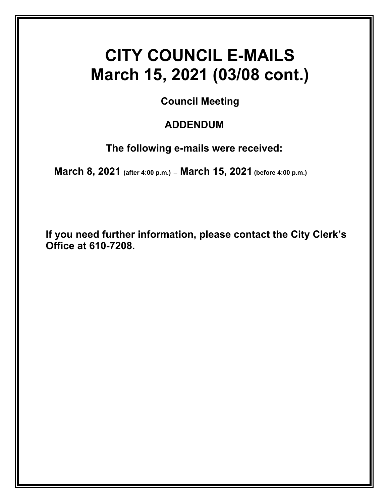# **CITY COUNCIL E-MAILS March 15, 2021 (03/08 cont.)**

**Council Meeting** 

## **ADDENDUM**

**The following e-mails were received:** 

 **March 8, 2021 (after 4:00 p.m.) – March 15, 2021 (before 4:00 p.m.)**

**If you need further information, please contact the City Clerk's Office at 610-7208.**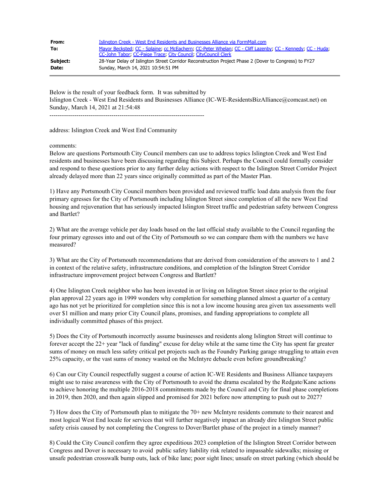| From:    | Islington Creek - West End Residents and Businesses Alliance via FormMail.com                             |
|----------|-----------------------------------------------------------------------------------------------------------|
| To:      | Mayor Becksted; CC - Splaine; cc McEachern; CC-Peter Whelan; CC - Cliff Lazenby; CC - Kennedy; CC - Huda; |
|          | CC-John Tabor, CC-Paige Trace, City Council, CityCouncil Clerk                                            |
| Subject: | 28-Year Delay of Islington Street Corridor Reconstruction Project Phase 2 (Dover to Congress) to FY27     |
| Date:    | Sunday, March 14, 2021 10:54:51 PM                                                                        |

Below is the result of your feedback form. It was submitted by Islington Creek - West End Residents and Businesses Alliance (IC-WE-ResidentsBizAlliance@comcast.net) on Sunday, March 14, 2021 at 21:54:48 ---------------------------------------------------------------------------

address: Islington Creek and West End Community

comments:

Below are questions Portsmouth City Council members can use to address topics Islington Creek and West End residents and businesses have been discussing regarding this Subject. Perhaps the Council could formally consider and respond to these questions prior to any further delay actions with respect to the Islington Street Corridor Project already delayed more than 22 years since originally committed as part of the Master Plan.

1) Have any Portsmouth City Council members been provided and reviewed traffic load data analysis from the four primary egresses for the City of Portsmouth including Islington Street since completion of all the new West End housing and rejuvenation that has seriously impacted Islington Street traffic and pedestrian safety between Congress and Bartlet?

2) What are the average vehicle per day loads based on the last official study available to the Council regarding the four primary egresses into and out of the City of Portsmouth so we can compare them with the numbers we have measured?

3) What are the City of Portsmouth recommendations that are derived from consideration of the answers to 1 and 2 in context of the relative safety, infrastructure conditions, and completion of the Islington Street Corridor infrastructure improvement project between Congress and Bartlett?

4) One Islington Creek neighbor who has been invested in or living on Islington Street since prior to the original plan approval 22 years ago in 1999 wonders why completion for something planned almost a quarter of a century ago has not yet be prioritized for completion since this is not a low income housing area given tax assessments well over \$1 million and many prior City Council plans, promises, and funding appropriations to complete all individually committed phases of this project.

5) Does the City of Portsmouth incorrectly assume businesses and residents along Islington Street will continue to forever accept the 22+ year "lack of funding" excuse for delay while at the same time the City has spent far greater sums of money on much less safety critical pet projects such as the Foundry Parking garage struggling to attain even 25% capacity, or the vast sums of money wasted on the McIntyre debacle even before groundbreaking?

6) Can our City Council respectfully suggest a course of action IC-WE Residents and Business Alliance taxpayers might use to raise awareness with the City of Portsmouth to avoid the drama escalated by the Redgate/Kane actions to achieve honoring the multiple 2016-2018 commitments made by the Council and City for final phase completions in 2019, then 2020, and then again slipped and promised for 2021 before now attempting to push out to 2027?

7) How does the City of Portsmouth plan to mitigate the 70+ new McIntyre residents commute to their nearest and most logical West End locale for services that will further negatively impact an already dire Islington Street public safety crisis caused by not completing the Congress to Dover/Bartlet phase of the project in a timely manner?

8) Could the City Council confirm they agree expeditious 2023 completion of the Islington Street Corridor between Congress and Dover is necessary to avoid public safety liability risk related to impassable sidewalks; missing or unsafe pedestrian crosswalk bump outs, lack of bike lane; poor sight lines; unsafe on street parking (which should be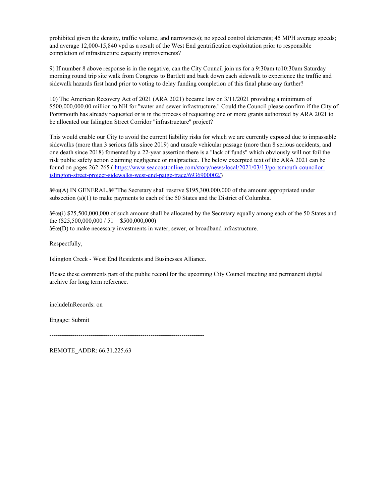prohibited given the density, traffic volume, and narrowness); no speed control deterrents; 45 MPH average speeds; and average 12,000-15,840 vpd as a result of the West End gentrification exploitation prior to responsible completion of infrastructure capacity improvements?

9) If number 8 above response is in the negative, can the City Council join us for a 9:30am to10:30am Saturday morning round trip site walk from Congress to Bartlett and back down each sidewalk to experience the traffic and sidewalk hazards first hand prior to voting to delay funding completion of this final phase any further?

10) The American Recovery Act of 2021 (ARA 2021) became law on 3/11/2021 providing a minimum of \$500,000,000.00 million to NH for "water and sewer infrastructure." Could the Council please confirm if the City of Portsmouth has already requested or is in the process of requesting one or more grants authorized by ARA 2021 to be allocated our Islington Street Corridor "infrastructure" project?

This would enable our City to avoid the current liability risks for which we are currently exposed due to impassable sidewalks (more than 3 serious falls since 2019) and unsafe vehicular passage (more than 8 serious accidents, and one death since 2018) fomented by a 22-year assertion there is a "lack of funds" which obviously will not foil the risk public safety action claiming negligence or malpractice. The below excerpted text of the ARA 2021 can be found on pages 262-265 ( [https://www.seacoastonline.com/story/news/local/2021/03/13/portsmouth-councilor](https://www.seacoastonline.com/story/news/local/2021/03/13/portsmouth-councilor-islington-street-project-sidewalks-west-end-paige-trace/6936900002/)[islington-street-project-sidewalks-west-end-paige-trace/6936900002/](https://www.seacoastonline.com/story/news/local/2021/03/13/portsmouth-councilor-islington-street-project-sidewalks-west-end-paige-trace/6936900002/))

 $\hat{a}\hat{\epsilon}\hat{c}$ (A) IN GENERAL. $\hat{a}\hat{\epsilon}$  The Secretary shall reserve \$195,300,000,000 of the amount appropriated under subsection (a) $(1)$  to make payments to each of the 50 States and the District of Columbia.

 $\frac{\partial \mathcal{E}}{\partial x}$  (i) \$25,500,000,000 of such amount shall be allocated by the Secretary equally among each of the 50 States and the  $(\$25,500,000,000 / 51 = \$500,000,000)$  $\hat{a}\hat{\epsilon}\hat{c}$ (D) to make necessary investments in water, sewer, or broadband infrastructure.

Respectfully,

Islington Creek - West End Residents and Businesses Alliance.

Please these comments part of the public record for the upcoming City Council meeting and permanent digital archive for long term reference.

includeInRecords: on

Engage: Submit

---------------------------------------------------------------------------

REMOTE\_ADDR: 66.31.225.63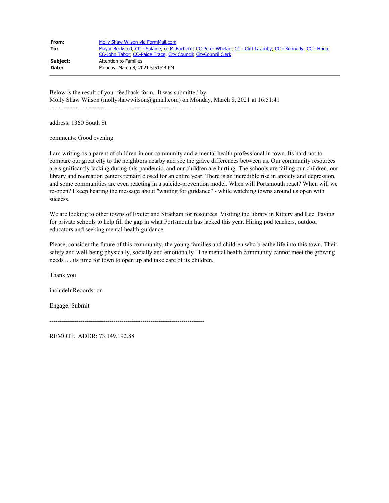| From:    | Molly Shaw Wilson via FormMail.com                                                                        |
|----------|-----------------------------------------------------------------------------------------------------------|
| To:      | Mayor Becksted, CC - Splaine, cc McEachern, CC-Peter Whelan, CC - Cliff Lazenby, CC - Kennedy, CC - Huda, |
|          | CC-John Tabor, CC-Paige Trace, City Council, CityCouncil Clerk                                            |
| Subject: | Attention to Families                                                                                     |
| Date:    | Monday, March 8, 2021 5:51:44 PM                                                                          |

Below is the result of your feedback form. It was submitted by Molly Shaw Wilson (mollyshawwilson@gmail.com) on Monday, March 8, 2021 at 16:51:41 ---------------------------------------------------------------------------

address: 1360 South St

comments: Good evening

I am writing as a parent of children in our community and a mental health professional in town. Its hard not to compare our great city to the neighbors nearby and see the grave differences between us. Our community resources are significantly lacking during this pandemic, and our children are hurting. The schools are failing our children, our library and recreation centers remain closed for an entire year. There is an incredible rise in anxiety and depression, and some communities are even reacting in a suicide-prevention model. When will Portsmouth react? When will we re-open? I keep hearing the message about "waiting for guidance" - while watching towns around us open with success.

We are looking to other towns of Exeter and Stratham for resources. Visiting the library in Kittery and Lee. Paying for private schools to help fill the gap in what Portsmouth has lacked this year. Hiring pod teachers, outdoor educators and seeking mental health guidance.

Please, consider the future of this community, the young families and children who breathe life into this town. Their safety and well-being physically, socially and emotionally -The mental health community cannot meet the growing needs .... its time for town to open up and take care of its children.

Thank you

includeInRecords: on

Engage: Submit

---------------------------------------------------------------------------

REMOTE\_ADDR: 73.149.192.88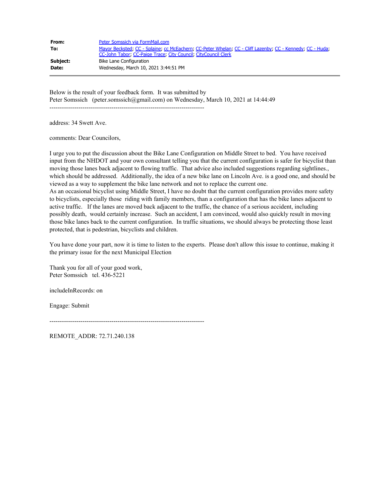| From:    | Peter Somssich via FormMail.com                                                                           |
|----------|-----------------------------------------------------------------------------------------------------------|
| To:      | Mayor Becksted: CC - Splaine: cc McEachern: CC-Peter Whelan: CC - Cliff Lazenby: CC - Kennedy: CC - Huda: |
|          | CC-John Tabor, CC-Paige Trace, City Council, CityCouncil Clerk                                            |
| Subject: | Bike Lane Configuration                                                                                   |
| Date:    | Wednesday, March 10, 2021 3:44:51 PM                                                                      |

Below is the result of your feedback form. It was submitted by Peter Somssich (peter.somssich@gmail.com) on Wednesday, March 10, 2021 at 14:44:49 ---------------------------------------------------------------------------

address: 34 Swett Ave.

comments: Dear Councilors,

I urge you to put the discussion about the Bike Lane Configuration on Middle Street to bed. You have received input from the NHDOT and your own consultant telling you that the current configuration is safer for bicyclist than moving those lanes back adjacent to flowing traffic. That advice also included suggestions regarding sightlines., which should be addressed. Additionally, the idea of a new bike lane on Lincoln Ave. is a good one, and should be viewed as a way to supplement the bike lane network and not to replace the current one. As an occasional bicyclist using Middle Street, I have no doubt that the current configuration provides more safety to bicyclists, especially those riding with family members, than a configuration that has the bike lanes adjacent to active traffic. If the lanes are moved back adjacent to the traffic, the chance of a serious accident, including possibly death, would certainly increase. Such an accident, I am convinced, would also quickly result in moving those bike lanes back to the current configuration. In traffic situations, we should always be protecting those least protected, that is pedestrian, bicyclists and children.

You have done your part, now it is time to listen to the experts. Please don't allow this issue to continue, making it the primary issue for the next Municipal Election

Thank you for all of your good work, Peter Somssich tel. 436-5221

includeInRecords: on

Engage: Submit

---------------------------------------------------------------------------

REMOTE\_ADDR: 72.71.240.138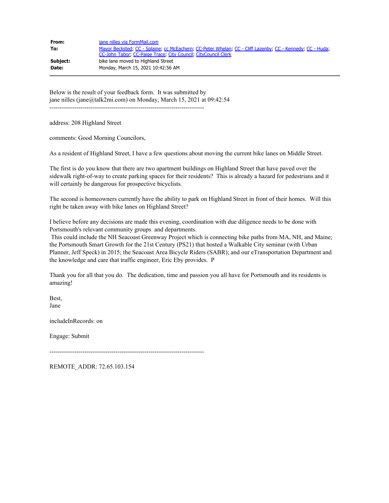| From:    | jane nilles via FormMail.com                                                                              |
|----------|-----------------------------------------------------------------------------------------------------------|
| To:      | Mayor Becksted, CC - Splaine, cc McEachern, CC-Peter Whelan, CC - Cliff Lazenby, CC - Kennedy, CC - Huda, |
|          | CC-John Tabor, CC-Paige Trace, City Council, CityCouncil Clerk                                            |
| Subject: | bike lane moved to Highland Street                                                                        |
| Date:    | Monday, March 15, 2021 10:42:56 AM                                                                        |

Below is the result of your feedback form. It was submitted by jane nilles (jane@talk2mi.com) on Monday, March 15, 2021 at 09:42:54 ---------------------------------------------------------------------------

address: 208 Highland Street

comments: Good Morning Councilors,

As a resident of Highland Street, I have a few questions about moving the current bike lanes on Middle Street.

The first is do you know that there are two apartment buildings on Highland Street that have paved over the sidewalk right-of-way to create parking spaces for their residents? This is already a hazard for pedestrians and it will certainly be dangerous for prospective bicyclists.

The second is homeowners currently have the ability to park on Highland Street in front of their homes. Will this right be taken away with bike lanes on Highland Street?

I believe before any decisions are made this evening, coordination with due diligence needs to be done with Portsmouth's relevant community groups and departments.

This could include the NH Seacoast Greenway Project which is connecting bike paths from MA, NH, and Maine; the Portsmouth Smart Growth for the 21st Century (PS21) that hosted a Walkable City seminar (with Urban Planner, Jeff Speck) in 2015; the Seacoast Area Bicycle Riders (SABR); and our eTransportation Department and the knowledge and care that traffic engineer, Eric Eby provides. P

Thank you for all that you do. The dedication, time and passion you all have for Portsmouth and its residents is amazing!

Best, Jane

includeInRecords: on

Engage: Submit

---------------------------------------------------------------------------

REMOTE\_ADDR: 72.65.103.154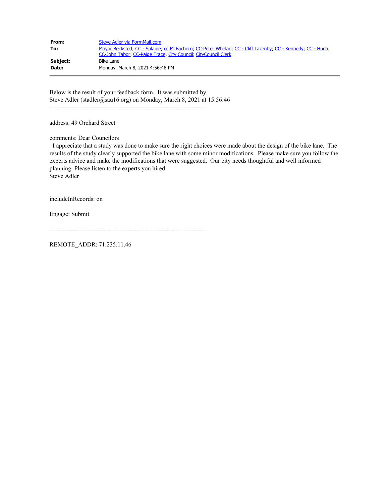| From:    | Steve Adler via FormMail.com                                                                                                                                                |
|----------|-----------------------------------------------------------------------------------------------------------------------------------------------------------------------------|
| To:      | Mayor Becksted, CC - Splaine, cc McEachern, CC-Peter Whelan, CC - Cliff Lazenby, CC - Kennedy, CC - Huda,<br>CC-John Tabor, CC-Paige Trace, City Council, CityCouncil Clerk |
| Subject: | Bike Lane                                                                                                                                                                   |
| Date:    | Monday, March 8, 2021 4:56:48 PM                                                                                                                                            |

Below is the result of your feedback form. It was submitted by Steve Adler (stadler@sau16.org) on Monday, March 8, 2021 at 15:56:46 ---------------------------------------------------------------------------

address: 49 Orchard Street

comments: Dear Councilors

 I appreciate that a study was done to make sure the right choices were made about the design of the bike lane. The results of the study clearly supported the bike lane with some minor modifications. Please make sure you follow the experts advice and make the modifications that were suggested. Our city needs thoughtful and well informed planning. Please listen to the experts you hired. Steve Adler

includeInRecords: on

Engage: Submit

---------------------------------------------------------------------------

REMOTE\_ADDR: 71.235.11.46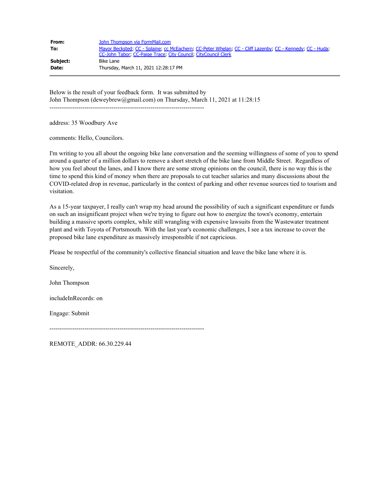| From:    | John Thompson via FormMail.com                                                                                                                                              |
|----------|-----------------------------------------------------------------------------------------------------------------------------------------------------------------------------|
| To:      | Mayor Becksted, CC - Splaine, cc McEachern, CC-Peter Whelan, CC - Cliff Lazenby, CC - Kennedy, CC - Huda,<br>CC-John Tabor, CC-Paige Trace, City Council, CityCouncil Clerk |
| Subject: | Bike Lane                                                                                                                                                                   |
| Date:    | Thursday, March 11, 2021 12:28:17 PM                                                                                                                                        |

Below is the result of your feedback form. It was submitted by John Thompson (deweybrew@gmail.com) on Thursday, March 11, 2021 at 11:28:15 ---------------------------------------------------------------------------

address: 35 Woodbury Ave

comments: Hello, Councilors.

I'm writing to you all about the ongoing bike lane conversation and the seeming willingness of some of you to spend around a quarter of a million dollars to remove a short stretch of the bike lane from Middle Street. Regardless of how you feel about the lanes, and I know there are some strong opinions on the council, there is no way this is the time to spend this kind of money when there are proposals to cut teacher salaries and many discussions about the COVID-related drop in revenue, particularly in the context of parking and other revenue sources tied to tourism and visitation.

As a 15-year taxpayer, I really can't wrap my head around the possibility of such a significant expenditure or funds on such an insignificant project when we're trying to figure out how to energize the town's economy, entertain building a massive sports complex, while still wrangling with expensive lawsuits from the Wastewater treatment plant and with Toyota of Portsmouth. With the last year's economic challenges, I see a tax increase to cover the proposed bike lane expenditure as massively irresponsible if not capricious.

Please be respectful of the community's collective financial situation and leave the bike lane where it is.

Sincerely,

John Thompson

includeInRecords: on

Engage: Submit

---------------------------------------------------------------------------

REMOTE\_ADDR: 66.30.229.44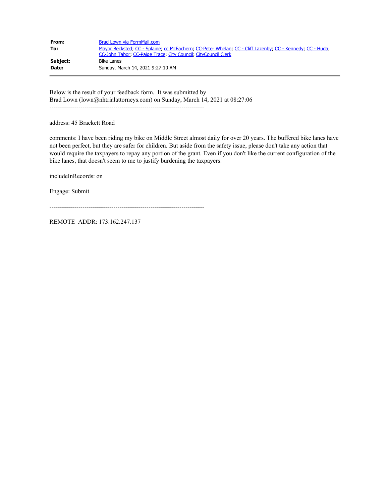| From:    | Brad Lown via FormMail.com                                                                                                                                                  |
|----------|-----------------------------------------------------------------------------------------------------------------------------------------------------------------------------|
| To:      | Mayor Becksted, CC - Splaine, cc McEachern, CC-Peter Whelan, CC - Cliff Lazenby, CC - Kennedy, CC - Huda,<br>CC-John Tabor, CC-Paige Trace, City Council, CityCouncil Clerk |
| Subject: | Bike Lanes                                                                                                                                                                  |
| Date:    | Sunday, March 14, 2021 9:27:10 AM                                                                                                                                           |

Below is the result of your feedback form. It was submitted by Brad Lown (lown@nhtrialattorneys.com) on Sunday, March 14, 2021 at 08:27:06 ---------------------------------------------------------------------------

address: 45 Brackett Road

comments: I have been riding my bike on Middle Street almost daily for over 20 years. The buffered bike lanes have not been perfect, but they are safer for children. But aside from the safety issue, please don't take any action that would require the taxpayers to repay any portion of the grant. Even if you don't like the current configuration of the bike lanes, that doesn't seem to me to justify burdening the taxpayers.

includeInRecords: on

Engage: Submit

---------------------------------------------------------------------------

REMOTE\_ADDR: 173.162.247.137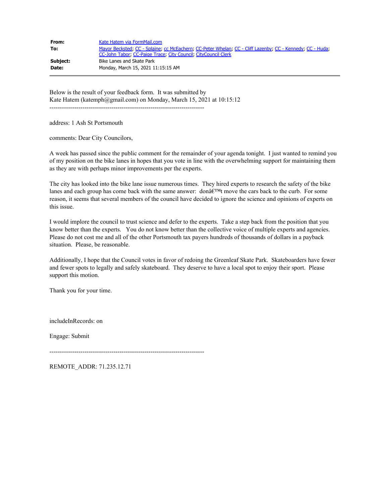| From:    | Kate Hatem via FormMail.com                                                                                                                                                 |
|----------|-----------------------------------------------------------------------------------------------------------------------------------------------------------------------------|
| To:      | Mayor Becksted, CC - Splaine, cc McEachern, CC-Peter Whelan, CC - Cliff Lazenby, CC - Kennedy, CC - Huda,<br>CC-John Tabor, CC-Paige Trace, City Council, CityCouncil Clerk |
| Subject: | Bike Lanes and Skate Park                                                                                                                                                   |
| Date:    | Monday, March 15, 2021 11:15:15 AM                                                                                                                                          |

Below is the result of your feedback form. It was submitted by Kate Hatem (katemph@gmail.com) on Monday, March 15, 2021 at 10:15:12 ---------------------------------------------------------------------------

address: 1 Ash St Portsmouth

comments: Dear City Councilors,

A week has passed since the public comment for the remainder of your agenda tonight. I just wanted to remind you of my position on the bike lanes in hopes that you vote in line with the overwhelming support for maintaining them as they are with perhaps minor improvements per the experts.

The city has looked into the bike lane issue numerous times. They hired experts to research the safety of the bike lanes and each group has come back with the same answer: don $\hat{a}\in\mathbb{M}$ t move the cars back to the curb. For some reason, it seems that several members of the council have decided to ignore the science and opinions of experts on this issue.

I would implore the council to trust science and defer to the experts. Take a step back from the position that you know better than the experts. You do not know better than the collective voice of multiple experts and agencies. Please do not cost me and all of the other Portsmouth tax payers hundreds of thousands of dollars in a payback situation. Please, be reasonable.

Additionally, I hope that the Council votes in favor of redoing the Greenleaf Skate Park. Skateboarders have fewer and fewer spots to legally and safely skateboard. They deserve to have a local spot to enjoy their sport. Please support this motion.

Thank you for your time.

includeInRecords: on

Engage: Submit

---------------------------------------------------------------------------

REMOTE\_ADDR: 71.235.12.71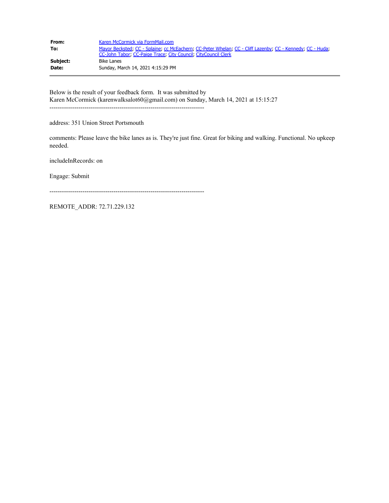| From:    | Karen McCormick via FormMail.com                                                                                                                                            |
|----------|-----------------------------------------------------------------------------------------------------------------------------------------------------------------------------|
| To:      | Mayor Becksted, CC - Splaine, cc McEachern, CC-Peter Whelan, CC - Cliff Lazenby, CC - Kennedy, CC - Huda,<br>CC-John Tabor, CC-Paige Trace, City Council, CityCouncil Clerk |
| Subject: | Bike Lanes                                                                                                                                                                  |
| Date:    | Sunday, March 14, 2021 4:15:29 PM                                                                                                                                           |

Below is the result of your feedback form. It was submitted by Karen McCormick (karenwalksalot60@gmail.com) on Sunday, March 14, 2021 at 15:15:27 ---------------------------------------------------------------------------

address: 351 Union Street Portsmouth

comments: Please leave the bike lanes as is. They're just fine. Great for biking and walking. Functional. No upkeep needed.

includeInRecords: on

Engage: Submit

---------------------------------------------------------------------------

REMOTE\_ADDR: 72.71.229.132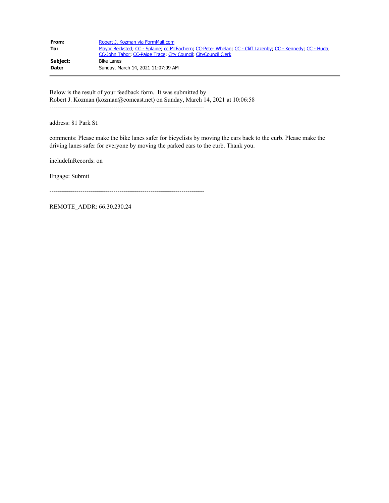| From:    | Robert J. Kozman via FormMail.com                                                                                                                                           |
|----------|-----------------------------------------------------------------------------------------------------------------------------------------------------------------------------|
| To:      | Mayor Becksted, CC - Splaine, cc McEachern, CC-Peter Whelan, CC - Cliff Lazenby, CC - Kennedy, CC - Huda,<br>CC-John Tabor, CC-Paige Trace, City Council, CityCouncil Clerk |
| Subject: | Bike Lanes                                                                                                                                                                  |
| Date:    | Sunday, March 14, 2021 11:07:09 AM                                                                                                                                          |

Below is the result of your feedback form. It was submitted by Robert J. Kozman (kozman@comcast.net) on Sunday, March 14, 2021 at 10:06:58 ---------------------------------------------------------------------------

address: 81 Park St.

comments: Please make the bike lanes safer for bicyclists by moving the cars back to the curb. Please make the driving lanes safer for everyone by moving the parked cars to the curb. Thank you.

includeInRecords: on

Engage: Submit

---------------------------------------------------------------------------

REMOTE\_ADDR: 66.30.230.24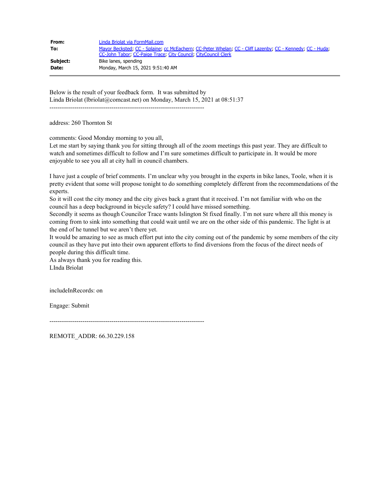| From:    | Linda Briolat via FormMail.com                                                                            |
|----------|-----------------------------------------------------------------------------------------------------------|
| To:      | Mayor Becksted; CC - Splaine; cc McEachern; CC-Peter Whelan; CC - Cliff Lazenby; CC - Kennedy; CC - Huda; |
|          | CC-John Tabor, CC-Paige Trace, City Council, CityCouncil Clerk                                            |
| Subject: | Bike lanes, spending                                                                                      |
| Date:    | Monday, March 15, 2021 9:51:40 AM                                                                         |

Below is the result of your feedback form. It was submitted by Linda Briolat (lbriolat@comcast.net) on Monday, March 15, 2021 at 08:51:37 ---------------------------------------------------------------------------

address: 260 Thornton St

comments: Good Monday morning to you all,

Let me start by saying thank you for sitting through all of the zoom meetings this past year. They are difficult to watch and sometimes difficult to follow and I'm sure sometimes difficult to participate in. It would be more enjoyable to see you all at city hall in council chambers.

I have just a couple of brief comments. I'm unclear why you brought in the experts in bike lanes, Toole, when it is pretty evident that some will propose tonight to do something completely different from the recommendations of the experts.

So it will cost the city money and the city gives back a grant that it received. I'm not familiar with who on the council has a deep background in bicycle safety? I could have missed something.

Secondly it seems as though Councilor Trace wants Islington St fixed finally. I'm not sure where all this money is coming from to sink into something that could wait until we are on the other side of this pandemic. The light is at the end of he tunnel but we aren't there yet.

It would be amazing to see as much effort put into the city coming out of the pandemic by some members of the city council as they have put into their own apparent efforts to find diversions from the focus of the direct needs of people during this difficult time.

As always thank you for reading this. LInda Briolat

includeInRecords: on

Engage: Submit

---------------------------------------------------------------------------

REMOTE\_ADDR: 66.30.229.158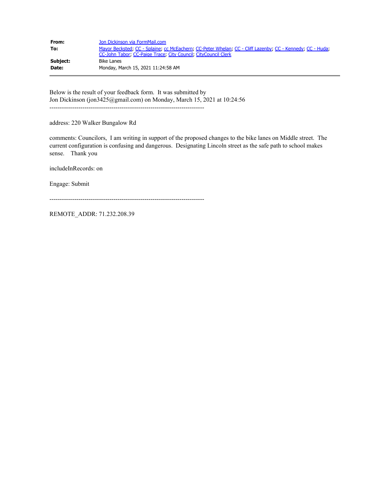| From:    | Jon Dickinson via FormMail.com                                                                                                                                              |
|----------|-----------------------------------------------------------------------------------------------------------------------------------------------------------------------------|
| To:      | Mayor Becksted, CC - Splaine, cc McEachern, CC-Peter Whelan, CC - Cliff Lazenby, CC - Kennedy, CC - Huda,<br>CC-John Tabor, CC-Paige Trace, City Council, CityCouncil Clerk |
| Subject: | Bike Lanes                                                                                                                                                                  |
| Date:    | Monday, March 15, 2021 11:24:58 AM                                                                                                                                          |

Below is the result of your feedback form. It was submitted by Jon Dickinson (jon3425@gmail.com) on Monday, March 15, 2021 at 10:24:56 ---------------------------------------------------------------------------

address: 220 Walker Bungalow Rd

comments: Councilors, I am writing in support of the proposed changes to the bike lanes on Middle street. The current configuration is confusing and dangerous. Designating Lincoln street as the safe path to school makes sense. Thank you

includeInRecords: on

Engage: Submit

---------------------------------------------------------------------------

REMOTE\_ADDR: 71.232.208.39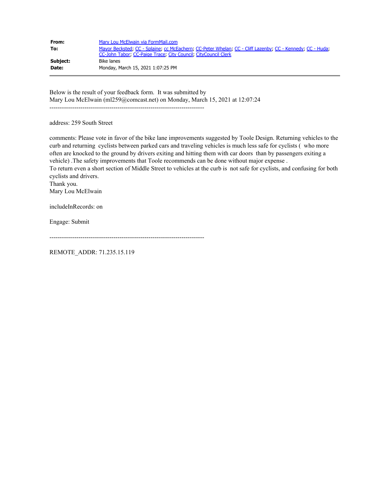| From:    | Mary Lou McElwain via FormMail.com                                                                        |
|----------|-----------------------------------------------------------------------------------------------------------|
| To:      | Mayor Becksted, CC - Splaine, cc McEachern, CC-Peter Whelan, CC - Cliff Lazenby, CC - Kennedy, CC - Huda, |
| Subject: | CC-John Tabor: CC-Paige Trace: City Council: CityCouncil Clerk<br>Bike lanes                              |
| Date:    | Monday, March 15, 2021 1:07:25 PM                                                                         |

Below is the result of your feedback form. It was submitted by Mary Lou McElwain (ml259@comcast.net) on Monday, March 15, 2021 at 12:07:24

---------------------------------------------------------------------------

address: 259 South Street

comments: Please vote in favor of the bike lane improvements suggested by Toole Design. Returning vehicles to the curb and returning cyclists between parked cars and traveling vehicles is much less safe for cyclists ( who more often are knocked to the ground by drivers exiting and hitting them with car doors than by passengers exiting a vehicle) .The safety improvements that Toole recommends can be done without major expense . To return even a short section of Middle Street to vehicles at the curb is not safe for cyclists, and confusing for both cyclists and drivers.

Thank you. Mary Lou McElwain

includeInRecords: on

Engage: Submit

```
---------------------------------------------------------------------------
```
REMOTE\_ADDR: 71.235.15.119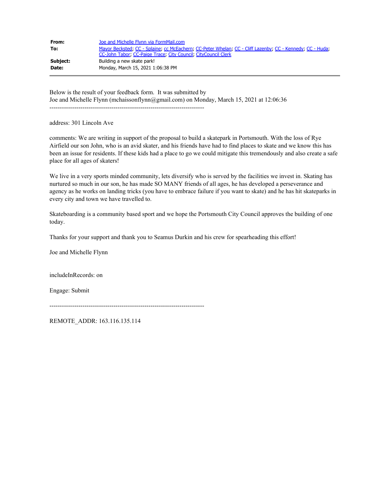| From:    | Joe and Michelle Flynn via FormMail.com                                                                   |
|----------|-----------------------------------------------------------------------------------------------------------|
| To:      | Mayor Becksted, CC - Splaine, cc McEachern, CC-Peter Whelan, CC - Cliff Lazenby, CC - Kennedy, CC - Huda, |
|          | CC-John Tabor, CC-Paige Trace, City Council, CityCouncil Clerk                                            |
| Subject: | Building a new skate park!                                                                                |
| Date:    | Monday, March 15, 2021 1:06:38 PM                                                                         |

Below is the result of your feedback form. It was submitted by Joe and Michelle Flynn (mchaissonflynn@gmail.com) on Monday, March 15, 2021 at 12:06:36 ---------------------------------------------------------------------------

address: 301 Lincoln Ave

comments: We are writing in support of the proposal to build a skatepark in Portsmouth. With the loss of Rye Airfield our son John, who is an avid skater, and his friends have had to find places to skate and we know this has been an issue for residents. If these kids had a place to go we could mitigate this tremendously and also create a safe place for all ages of skaters!

We live in a very sports minded community, lets diversify who is served by the facilities we invest in. Skating has nurtured so much in our son, he has made SO MANY friends of all ages, he has developed a perseverance and agency as he works on landing tricks (you have to embrace failure if you want to skate) and he has hit skateparks in every city and town we have travelled to.

Skateboarding is a community based sport and we hope the Portsmouth City Council approves the building of one today.

Thanks for your support and thank you to Seamus Durkin and his crew for spearheading this effort!

Joe and Michelle Flynn

includeInRecords: on

Engage: Submit

---------------------------------------------------------------------------

REMOTE\_ADDR: 163.116.135.114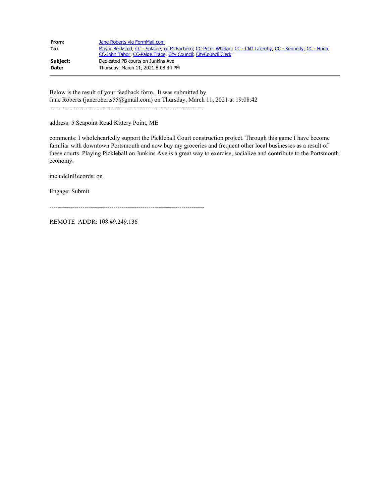| From:    | Jane Roberts via FormMail.com                                                                                                                                               |
|----------|-----------------------------------------------------------------------------------------------------------------------------------------------------------------------------|
| To:      | Mayor Becksted, CC - Splaine, cc McEachern, CC-Peter Whelan, CC - Cliff Lazenby, CC - Kennedy, CC - Huda;<br>CC-John Tabor, CC-Paige Trace, City Council, CityCouncil Clerk |
| Subject: | Dedicated PB courts on Junkins Ave                                                                                                                                          |
| Date:    | Thursday, March 11, 2021 8:08:44 PM                                                                                                                                         |

Below is the result of your feedback form. It was submitted by Jane Roberts (janeroberts55@gmail.com) on Thursday, March 11, 2021 at 19:08:42 ---------------------------------------------------------------------------

address: 5 Seapoint Road Kittery Point, ME

comments: I wholeheartedly support the Pickleball Court construction project. Through this game I have become familiar with downtown Portsmouth and now buy my groceries and frequent other local businesses as a result of these courts. Playing Pickleball on Junkins Ave is a great way to exercise, socialize and contribute to the Portsmouth economy.

includeInRecords: on

Engage: Submit

---------------------------------------------------------------------------

REMOTE\_ADDR: 108.49.249.136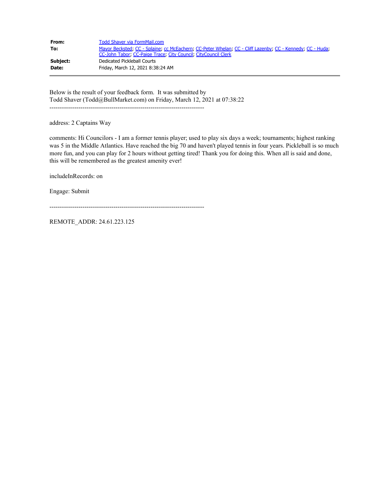| From:        | Todd Shaver via FormMail.com                                                                                                                                                |
|--------------|-----------------------------------------------------------------------------------------------------------------------------------------------------------------------------|
| To:          | Mayor Becksted, CC - Splaine, cc McEachern, CC-Peter Whelan, CC - Cliff Lazenby, CC - Kennedy, CC - Huda,<br>CC-John Tabor, CC-Paige Trace, City Council, CityCouncil Clerk |
| Subject:     | Dedicated Pickleball Courts                                                                                                                                                 |
| <b>Date:</b> | Friday, March 12, 2021 8:38:24 AM                                                                                                                                           |

Below is the result of your feedback form. It was submitted by Todd Shaver (Todd@BullMarket.com) on Friday, March 12, 2021 at 07:38:22 ---------------------------------------------------------------------------

address: 2 Captains Way

comments: Hi Councilors - I am a former tennis player; used to play six days a week; tournaments; highest ranking was 5 in the Middle Atlantics. Have reached the big 70 and haven't played tennis in four years. Pickleball is so much more fun, and you can play for 2 hours without getting tired! Thank you for doing this. When all is said and done, this will be remembered as the greatest amenity ever!

includeInRecords: on

Engage: Submit

---------------------------------------------------------------------------

REMOTE\_ADDR: 24.61.223.125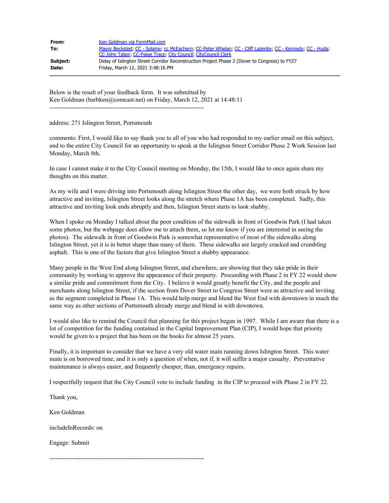| From:    | Ken Goldman via FormMail.com                                                                              |
|----------|-----------------------------------------------------------------------------------------------------------|
| To:      | Mayor Becksted, CC - Splaine, cc McEachern, CC-Peter Whelan, CC - Cliff Lazenby, CC - Kennedy, CC - Huda; |
|          | CC-John Tabor, CC-Paige Trace, City Council, CityCouncil Clerk                                            |
| Subject: | Delay of Islington Street Corridor Reconstruction Project Phase 2 (Dover to Congress) to FY27             |
| Date:    | Friday, March 12, 2021 3:48:16 PM                                                                         |

Below is the result of your feedback form. It was submitted by Ken Goldman (barbken@comcast.net) on Friday, March 12, 2021 at 14:48:11 ---------------------------------------------------------------------------

address: 271 Islington Street, Portsmouth

comments: First, I would like to say thank you to all of you who had responded to my earlier email on this subject, and to the entire City Council for an opportunity to speak at the Islington Street Corridor Phase 2 Work Session last Monday, March 8th.

In case I cannot make it to the City Council meeting on Monday, the 15th, I would like to once again share my thoughts on this matter.

As my wife and I were driving into Portsmouth along Islington Street the other day, we were both struck by how attractive and inviting, Islington Street looks along the stretch where Phase 1A has been completed. Sadly, this attractive and inviting look ends abruptly and then, Islington Street starts to look shabby.

When I spoke on Monday I talked about the poor condition of the sidewalk in front of Goodwin Park (I had taken some photos, but the webpage does allow me to attach them, so let me know if you are interested in seeing the photos). The sidewalk in front of Goodwin Park is somewhat representative of most of the sidewalks along Islington Street, yet it is in better shape than many of them. These sidewalks are largely cracked and crumbling asphalt. This is one of the factors that give Islington Street a shabby appearance.

Many people in the West End along Islington Street, and elsewhere, are showing that they take pride in their community by working to approve the appearance of their property. Proceeding with Phase 2 in FY 22 would show a similar pride and commitment from the City. I believe it would greatly benefit the City, and the people and merchants along Islington Street, if the section from Dover Street to Congress Street were as attractive and inviting as the segment completed in Phase 1A. This would help merge and blend the West End with downtown in much the same way as other sections of Portsmouth already merge and blend in with downtown.

I would also like to remind the Council that planning for this project began in 1997. While I am aware that there is a lot of competition for the funding contained in the Capital Improvement Plan (CIP), I would hope that priority would be given to a project that has been on the books for almost 25 years.

Finally, it is important to consider that we have a very old water main running down Islington Street. This water main is on borrowed time, and it is only a question of when, not if, it will suffer a major casualty. Preventative maintenance is always easier, and frequently cheaper, than, emergency repairs.

I respectfully request that the City Council vote to include funding in the CIP to proceed with Phase 2 in FY 22.

Thank you,

Ken Goldman

includeInRecords: on

Engage: Submit

---------------------------------------------------------------------------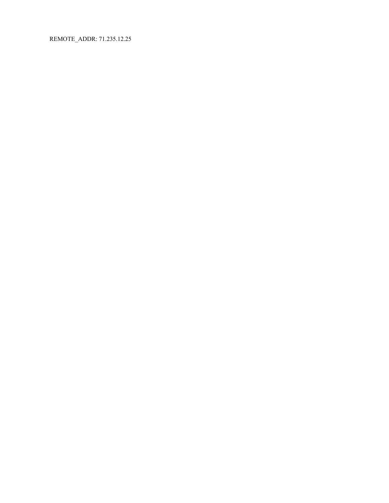REMOTE\_ADDR: 71.235.12.25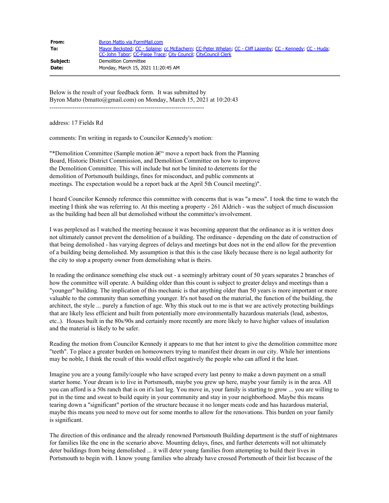| From:    | Byron Matto via FormMail.com                                                                                                                                                |
|----------|-----------------------------------------------------------------------------------------------------------------------------------------------------------------------------|
| To:      | Mayor Becksted, CC - Splaine, cc McEachern, CC-Peter Whelan, CC - Cliff Lazenby, CC - Kennedy, CC - Huda,<br>CC-John Tabor: CC-Paige Trace: City Council: CityCouncil Clerk |
| Subject: | Demolition Committee                                                                                                                                                        |
| Date:    | Monday, March 15, 2021 11:20:45 AM                                                                                                                                          |

Below is the result of your feedback form. It was submitted by Byron Matto (bmatto@gmail.com) on Monday, March 15, 2021 at 10:20:43 ---------------------------------------------------------------------------

address: 17 Fields Rd

comments: I'm writing in regards to Councilor Kennedy's motion:

"\*Demolition Committee (Sample motion  $\hat{a}\hat{\epsilon}$ " move a report back from the Planning Board, Historic District Commission, and Demolition Committee on how to improve the Demolition Committee. This will include but not be limited to deterrents for the demolition of Portsmouth buildings, fines for misconduct, and public comments at meetings. The expectation would be a report back at the April 5th Council meeting)".

I heard Councilor Kennedy reference this committee with concerns that is was "a mess". I took the time to watch the meeting I think she was referring to. At this meeting a property - 261 Aldrich - was the subject of much discussion as the building had been all but demolished without the committee's involvement.

I was perplexed as I watched the meeting because it was becoming apparent that the ordinance as it is written does not ultimately cannot prevent the demolition of a building. The ordinance - depending on the date of construction of that being demolished - has varying degrees of delays and meetings but does not in the end allow for the prevention of a building being demolished. My assumption is that this is the case likely because there is no legal authority for the city to stop a property owner from demolishing what is theirs.

In reading the ordinance something else stuck out - a seemingly arbitrary count of 50 years separates 2 branches of how the committee will operate. A building older than this count is subject to greater delays and meetings than a "younger" building. The implication of this mechanic is that anything older than 50 years is more important or more valuable to the community than something younger. It's not based on the material, the function of the building, the architect, the style ... purely a function of age. Why this stuck out to me is that we are actively protecting buildings that are likely less efficient and built from potentially more environmentally hazardous materials (lead, asbestos, etc..). Houses built in the 80s/90s and certainly more recently are more likely to have higher values of insulation and the material is likely to be safer.

Reading the motion from Councilor Kennedy it appears to me that her intent to give the demolition committee more "teeth". To place a greater burden on homeowners trying to manifest their dream in our city. While her intentions may be noble, I think the result of this would effect negatively the people who can afford it the least.

Imagine you are a young family/couple who have scraped every last penny to make a down payment on a small starter home. Your dream is to live in Portsmouth, maybe you grew up here, maybe your family is in the area. All you can afford is a 50s ranch that is on it's last leg. You move in, your family is starting to grow ... you are willing to put in the time and sweat to build equity in your community and stay in your neighborhood. Maybe this means tearing down a "significant" portion of the structure because it no longer meats code and has hazardous material, maybe this means you need to move out for some months to allow for the renovations. This burden on your family is significant.

The direction of this ordinance and the already renowned Portsmouth Building department is the stuff of nightmares for families like the one in the scenario above. Mounting delays, fines, and further deterrents will not ultimately deter buildings from being demolished ... it will deter young families from attempting to build their lives in Portsmouth to begin with. I know young families who already have crossed Portsmouth of their list because of the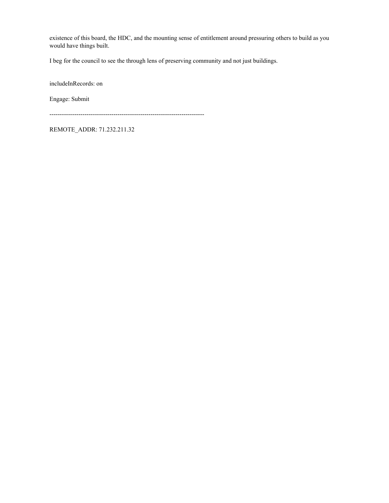existence of this board, the HDC, and the mounting sense of entitlement around pressuring others to build as you would have things built.

I beg for the council to see the through lens of preserving community and not just buildings.

includeInRecords: on

Engage: Submit

---------------------------------------------------------------------------

REMOTE\_ADDR: 71.232.211.32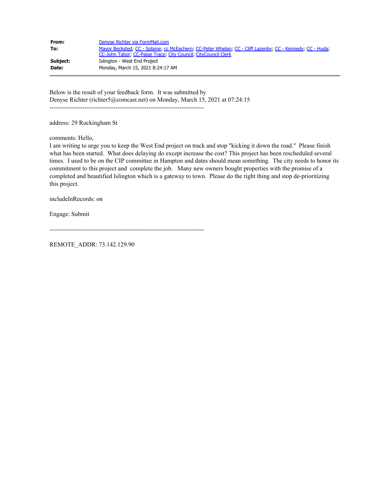| From:    | Denyse Richter via FormMail.com                                                                                                                                             |
|----------|-----------------------------------------------------------------------------------------------------------------------------------------------------------------------------|
| To:      | Mayor Becksted, CC - Splaine, cc McEachern, CC-Peter Whelan, CC - Cliff Lazenby, CC - Kennedy, CC - Huda,<br>CC-John Tabor: CC-Paige Trace: City Council: CityCouncil Clerk |
| Subject: | Islington - West End Project                                                                                                                                                |
| Date:    | Monday, March 15, 2021 8:24:17 AM                                                                                                                                           |

Below is the result of your feedback form. It was submitted by Denyse Richter (richter5@comcast.net) on Monday, March 15, 2021 at 07:24:15 ---------------------------------------------------------------------------

address: 29 Rockingham St

comments: Hello,

I am writing to urge you to keep the West End project on track and stop "kicking it down the road." Please finish what has been started. What does delaying do except increase the cost? This project has been rescheduled several times. I used to be on the CIP committee in Hampton and dates should mean something. The city needs to honor its commitment to this project and complete the job. Many new owners bought properties with the promise of a completed and beautified Islington which is a gateway to town. Please do the right thing and stop de-prioritizing this project.

includeInRecords: on

Engage: Submit

---------------------------------------------------------------------------

REMOTE\_ADDR: 73.142.129.90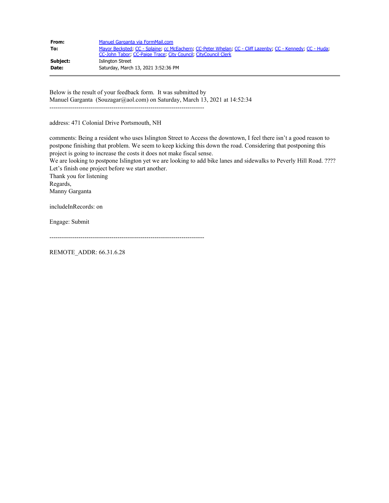| From:    | Manuel Garganta via FormMail.com                                                                                                                                            |
|----------|-----------------------------------------------------------------------------------------------------------------------------------------------------------------------------|
| To:      | Mayor Becksted; CC - Splaine; cc McEachern; CC-Peter Whelan; CC - Cliff Lazenby; CC - Kennedy; CC - Huda;<br>CC-John Tabor, CC-Paige Trace, City Council, CityCouncil Clerk |
| Subject: | Islington Street                                                                                                                                                            |
| Date:    | Saturday, March 13, 2021 3:52:36 PM                                                                                                                                         |

Below is the result of your feedback form. It was submitted by Manuel Garganta (Souzagar@aol.com) on Saturday, March 13, 2021 at 14:52:34 ---------------------------------------------------------------------------

address: 471 Colonial Drive Portsmouth, NH

comments: Being a resident who uses Islington Street to Access the downtown, I feel there isn't a good reason to postpone finishing that problem. We seem to keep kicking this down the road. Considering that postponing this project is going to increase the costs it does not make fiscal sense.

We are looking to postpone Islington yet we are looking to add bike lanes and sidewalks to Peverly Hill Road. ???? Let's finish one project before we start another.

Thank you for listening Regards, Manny Garganta

includeInRecords: on

Engage: Submit

---------------------------------------------------------------------------

REMOTE\_ADDR: 66.31.6.28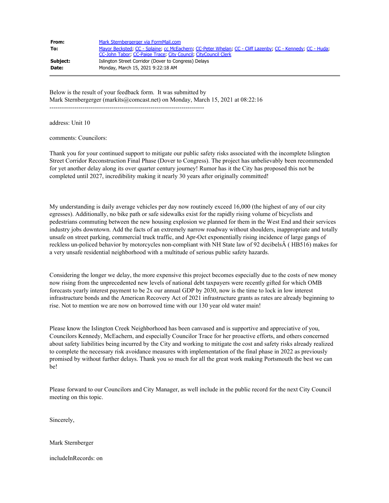| From:    | Mark Sternbergerger via FormMail.com                                                                      |
|----------|-----------------------------------------------------------------------------------------------------------|
| To:      | Mayor Becksted; CC - Splaine; cc McEachern; CC-Peter Whelan; CC - Cliff Lazenby; CC - Kennedy; CC - Huda; |
|          | CC-John Tabor, CC-Paige Trace, City Council, CityCouncil Clerk                                            |
| Subject: | Islington Street Corridor (Dover to Congress) Delays                                                      |
| Date:    | Monday, March 15, 2021 9:22:18 AM                                                                         |

Below is the result of your feedback form. It was submitted by Mark Sternbergerger (markits@comcast.net) on Monday, March 15, 2021 at 08:22:16 ---------------------------------------------------------------------------

address: Unit 10

comments: Councilors:

Thank you for your continued support to mitigate our public safety risks associated with the incomplete Islington Street Corridor Reconstruction Final Phase (Dover to Congress). The project has unbelievably been recommended for yet another delay along its over quarter century journey! Rumor has it the City has proposed this not be completed until 2027, incredibility making it nearly 30 years after originally committed!

My understanding is daily average vehicles per day now routinely exceed 16,000 (the highest of any of our city egresses). Additionally, no bike path or safe sidewalks exist for the rapidly rising volume of bicyclists and pedestrians commuting between the new housing explosion we planned for them in the West End and their services industry jobs downtown. Add the facts of an extremely narrow roadway without shoulders, inappropriate and totally unsafe on street parking, commercial truck traffic, and Apr-Oct exponentially rising incidence of large gangs of reckless un-policed behavior by motorcycles non-compliant with NH State law of 92 decibelsÂ ( HB516) makes for a very unsafe residential neighborhood with a multitude of serious public safety hazards.

Considering the longer we delay, the more expensive this project becomes especially due to the costs of new money now rising from the unprecedented new levels of national debt taxpayers were recently gifted for which OMB forecasts yearly interest payment to be 2x our annual GDP by 2030, now is the time to lock in low interest infrastructure bonds and the American Recovery Act of 2021 infrastructure grants as rates are already beginning to rise. Not to mention we are now on borrowed time with our 130 year old water main!

Please know the Islington Creek Neighborhood has been canvased and is supportive and appreciative of you, Councilors Kennedy, McEachern, and especially Councilor Trace for her proactive efforts, and others concerned about safety liabilities being incurred by the City and working to mitigate the cost and safety risks already realized to complete the necessary risk avoidance measures with implementation of the final phase in 2022 as previously promised by without further delays. Thank you so much for all the great work making Portsmouth the best we can be!

Please forward to our Councilors and City Manager, as well include in the public record for the next City Council meeting on this topic.

Sincerely,

Mark Sternberger

includeInRecords: on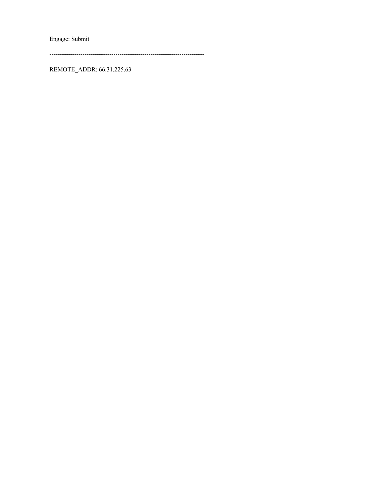Engage: Submit

REMOTE\_ADDR: 66.31.225.63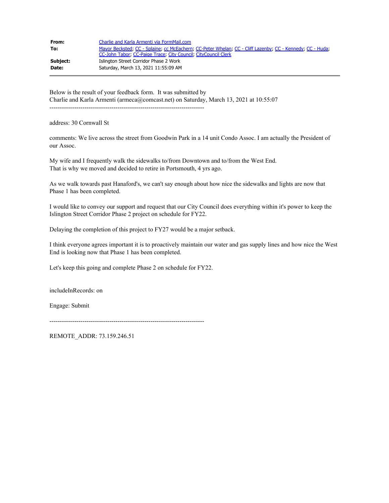| From:    | Charlie and Karla Armenti via FormMail.com                                                                                                                                  |
|----------|-----------------------------------------------------------------------------------------------------------------------------------------------------------------------------|
| To:      | Mayor Becksted, CC - Splaine, cc McEachern, CC-Peter Whelan, CC - Cliff Lazenby, CC - Kennedy, CC - Huda,<br>CC-John Tabor, CC-Paige Trace, City Council, CityCouncil Clerk |
| Subject: | Islington Street Corridor Phase 2 Work                                                                                                                                      |
| Date:    | Saturday, March 13, 2021 11:55:09 AM                                                                                                                                        |

Below is the result of your feedback form. It was submitted by Charlie and Karla Armenti (armeca@comcast.net) on Saturday, March 13, 2021 at 10:55:07 ---------------------------------------------------------------------------

address: 30 Cornwall St

comments: We live across the street from Goodwin Park in a 14 unit Condo Assoc. I am actually the President of our Assoc.

My wife and I frequently walk the sidewalks to/from Downtown and to/from the West End. That is why we moved and decided to retire in Portsmouth, 4 yrs ago.

As we walk towards past Hanaford's, we can't say enough about how nice the sidewalks and lights are now that Phase 1 has been completed.

I would like to convey our support and request that our City Council does everything within it's power to keep the Islington Street Corridor Phase 2 project on schedule for FY22.

Delaying the completion of this project to FY27 would be a major setback.

I think everyone agrees important it is to proactively maintain our water and gas supply lines and how nice the West End is looking now that Phase 1 has been completed.

Let's keep this going and complete Phase 2 on schedule for FY22.

includeInRecords: on

Engage: Submit

---------------------------------------------------------------------------

REMOTE\_ADDR: 73.159.246.51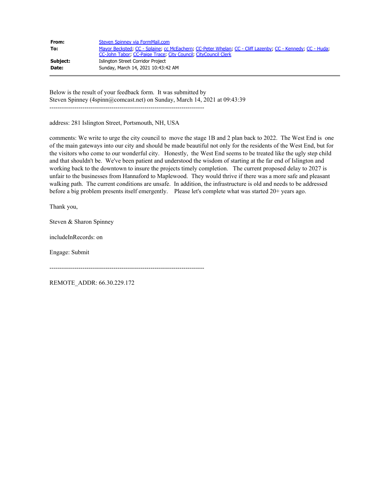| From:    | Steven Spinney via FormMail.com                                                                           |
|----------|-----------------------------------------------------------------------------------------------------------|
| To:      | Mayor Becksted; CC - Splaine; cc McEachern; CC-Peter Whelan; CC - Cliff Lazenby; CC - Kennedy; CC - Huda; |
|          | CC-John Tabor, CC-Paige Trace, City Council, CityCouncil Clerk                                            |
| Subject: | Islington Street Corridor Project                                                                         |
| Date:    | Sunday, March 14, 2021 10:43:42 AM                                                                        |

Below is the result of your feedback form. It was submitted by Steven Spinney (4spinn@comcast.net) on Sunday, March 14, 2021 at 09:43:39 ---------------------------------------------------------------------------

address: 281 Islington Street, Portsmouth, NH, USA

comments: We write to urge the city council to move the stage 1B and 2 plan back to 2022. The West End is one of the main gateways into our city and should be made beautiful not only for the residents of the West End, but for the visitors who come to our wonderful city. Honestly, the West End seems to be treated like the ugly step child and that shouldn't be. We've been patient and understood the wisdom of starting at the far end of Islington and working back to the downtown to insure the projects timely completion. The current proposed delay to 2027 is unfair to the businesses from Hannaford to Maplewood. They would thrive if there was a more safe and pleasant walking path. The current conditions are unsafe. In addition, the infrastructure is old and needs to be addressed before a big problem presents itself emergently. Please let's complete what was started 20+ years ago.

Thank you,

Steven & Sharon Spinney

includeInRecords: on

Engage: Submit

---------------------------------------------------------------------------

REMOTE\_ADDR: 66.30.229.172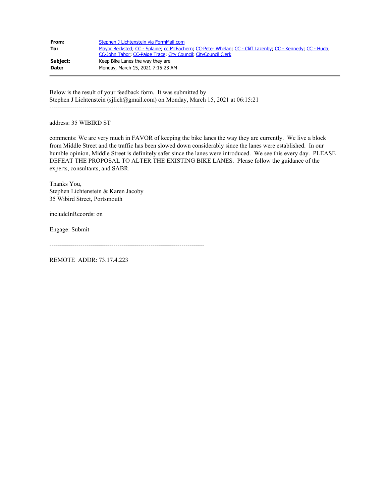| From:    | Stephen J Lichtenstein via FormMail.com                                                                   |
|----------|-----------------------------------------------------------------------------------------------------------|
| To:      | Mayor Becksted, CC - Splaine, cc McEachern, CC-Peter Whelan, CC - Cliff Lazenby, CC - Kennedy, CC - Huda; |
|          | CC-John Tabor, CC-Paige Trace, City Council, CityCouncil Clerk                                            |
| Subject: | Keep Bike Lanes the way they are                                                                          |
| Date:    | Monday, March 15, 2021 7:15:23 AM                                                                         |

Below is the result of your feedback form. It was submitted by Stephen J Lichtenstein (sjlich@gmail.com) on Monday, March 15, 2021 at 06:15:21 ---------------------------------------------------------------------------

address: 35 WIBIRD ST

comments: We are very much in FAVOR of keeping the bike lanes the way they are currently. We live a block from Middle Street and the traffic has been slowed down considerably since the lanes were established. In our humble opinion, Middle Street is definitely safer since the lanes were introduced. We see this every day. PLEASE DEFEAT THE PROPOSAL TO ALTER THE EXISTING BIKE LANES. Please follow the guidance of the experts, consultants, and SABR.

Thanks You, Stephen Lichtenstein & Karen Jacoby 35 Wibird Street, Portsmouth

includeInRecords: on

Engage: Submit

---------------------------------------------------------------------------

REMOTE\_ADDR: 73.17.4.223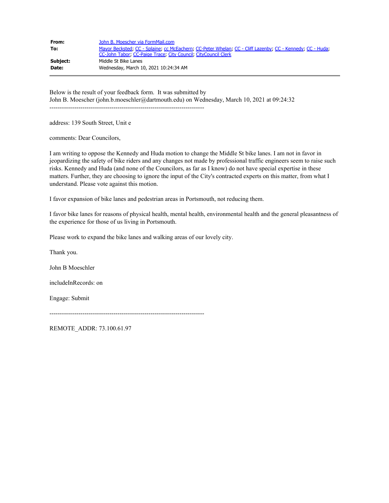| From:    | John B. Moescher via FormMail.com                                                                                                                                           |
|----------|-----------------------------------------------------------------------------------------------------------------------------------------------------------------------------|
| To:      | Mayor Becksted, CC - Splaine, cc McEachern, CC-Peter Whelan, CC - Cliff Lazenby, CC - Kennedy, CC - Huda,<br>CC-John Tabor, CC-Paige Trace, City Council, CityCouncil Clerk |
| Subject: | Middle St Bike Lanes                                                                                                                                                        |
| Date:    | Wednesday, March 10, 2021 10:24:34 AM                                                                                                                                       |

Below is the result of your feedback form. It was submitted by John B. Moescher (john.b.moeschler@dartmouth.edu) on Wednesday, March 10, 2021 at 09:24:32 ---------------------------------------------------------------------------

address: 139 South Street, Unit e

comments: Dear Councilors,

I am writing to oppose the Kennedy and Huda motion to change the Middle St bike lanes. I am not in favor in jeopardizing the safety of bike riders and any changes not made by professional traffic engineers seem to raise such risks. Kennedy and Huda (and none of the Councilors, as far as I know) do not have special expertise in these matters. Further, they are choosing to ignore the input of the City's contracted experts on this matter, from what I understand. Please vote against this motion.

I favor expansion of bike lanes and pedestrian areas in Portsmouth, not reducing them.

I favor bike lanes for reasons of physical health, mental health, environmental health and the general pleasantness of the experience for those of us living in Portsmouth.

Please work to expand the bike lanes and walking areas of our lovely city.

Thank you.

John B Moeschler

includeInRecords: on

Engage: Submit

---------------------------------------------------------------------------

REMOTE\_ADDR: 73.100.61.97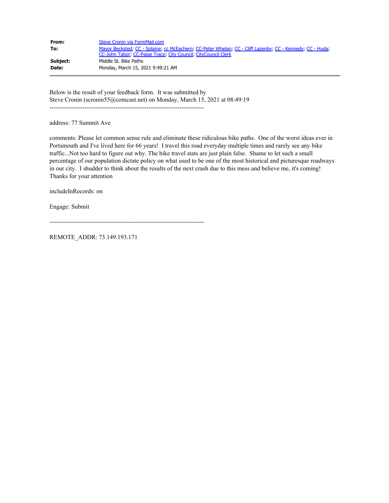| From:    | Steve Cronin via FormMail.com                                                                             |
|----------|-----------------------------------------------------------------------------------------------------------|
| To:      | Mayor Becksted: CC - Splaine: cc McEachern: CC-Peter Whelan: CC - Cliff Lazenby: CC - Kennedy: CC - Huda: |
|          | CC-John Tabor: CC-Paige Trace: City Council: CityCouncil Clerk                                            |
| Subject: | Middle St. Bike Paths                                                                                     |
| Date:    | Monday, March 15, 2021 9:49:21 AM                                                                         |

Below is the result of your feedback form. It was submitted by Steve Cronin (scronin55@comcast.net) on Monday, March 15, 2021 at 08:49:19 ---------------------------------------------------------------------------

address: 77 Summit Ave

comments: Please let common sense rule and eliminate these ridiculous bike paths. One of the worst ideas ever in Portsmouth and I've lived here for 66 years! I travel this road everyday multiple times and rarely see any bike traffic...Not too hard to figure out why. The bike travel stats are just plain false. Shame to let such a small percentage of our population dictate policy on what used to be one of the most historical and picturesque roadways in our city. I shudder to think about the results of the next crash due to this mess and believe me, it's coming! Thanks for your attention

includeInRecords: on

Engage: Submit

---------------------------------------------------------------------------

REMOTE\_ADDR: 73.149.193.171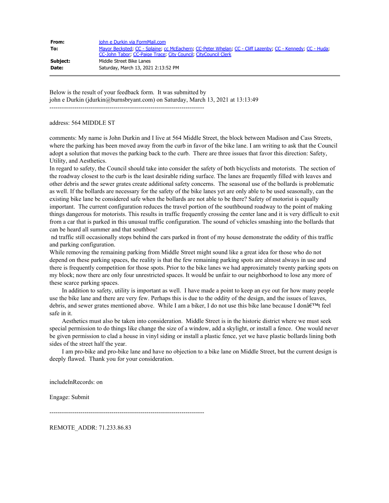| From:    | john e Durkin via FormMail.com                                                                            |
|----------|-----------------------------------------------------------------------------------------------------------|
| To:      | Mayor Becksted; CC - Splaine; cc McEachern; CC-Peter Whelan; CC - Cliff Lazenby; CC - Kennedy; CC - Huda; |
|          | CC-John Tabor, CC-Paige Trace, City Council, CityCouncil Clerk                                            |
| Subject: | Middle Street Bike Lanes                                                                                  |
| Date:    | Saturday, March 13, 2021 2:13:52 PM                                                                       |

Below is the result of your feedback form. It was submitted by john e Durkin (jdurkin@burnsbryant.com) on Saturday, March 13, 2021 at 13:13:49

---------------------------------------------------------------------------

### address: 564 MIDDLE ST

comments: My name is John Durkin and I live at 564 Middle Street, the block between Madison and Cass Streets, where the parking has been moved away from the curb in favor of the bike lane. I am writing to ask that the Council adopt a solution that moves the parking back to the curb. There are three issues that favor this direction: Safety, Utility, and Aesthetics.

In regard to safety, the Council should take into consider the safety of both bicyclists and motorists. The section of the roadway closest to the curb is the least desirable riding surface. The lanes are frequently filled with leaves and other debris and the sewer grates create additional safety concerns. The seasonal use of the bollards is problematic as well. If the bollards are necessary for the safety of the bike lanes yet are only able to be used seasonally, can the existing bike lane be considered safe when the bollards are not able to be there? Safety of motorist is equally important. The current configuration reduces the travel portion of the southbound roadway to the point of making things dangerous for motorists. This results in traffic frequently crossing the center lane and it is very difficult to exit from a car that is parked in this unusual traffic configuration. The sound of vehicles smashing into the bollards that can be heard all summer and that southbou!

nd traffic still occasionally stops behind the cars parked in front of my house demonstrate the oddity of this traffic and parking configuration.

While removing the remaining parking from Middle Street might sound like a great idea for those who do not depend on these parking spaces, the reality is that the few remaining parking spots are almost always in use and there is frequently competition for those spots. Prior to the bike lanes we had approximately twenty parking spots on my block; now there are only four unrestricted spaces. It would be unfair to our neighborhood to lose any more of these scarce parking spaces.

 In addition to safety, utility is important as well. I have made a point to keep an eye out for how many people use the bike lane and there are very few. Perhaps this is due to the oddity of the design, and the issues of leaves, debris, and sewer grates mentioned above. While I am a biker, I do not use this bike lane because I donâ $\epsilon^{TM}$  feel safe in it.

 Aesthetics must also be taken into consideration. Middle Street is in the historic district where we must seek special permission to do things like change the size of a window, add a skylight, or install a fence. One would never be given permission to clad a house in vinyl siding or install a plastic fence, yet we have plastic bollards lining both sides of the street half the year.

 I am pro-bike and pro-bike lane and have no objection to a bike lane on Middle Street, but the current design is deeply flawed. Thank you for your consideration.

includeInRecords: on

Engage: Submit

---------------------------------------------------------------------------

REMOTE\_ADDR: 71.233.86.83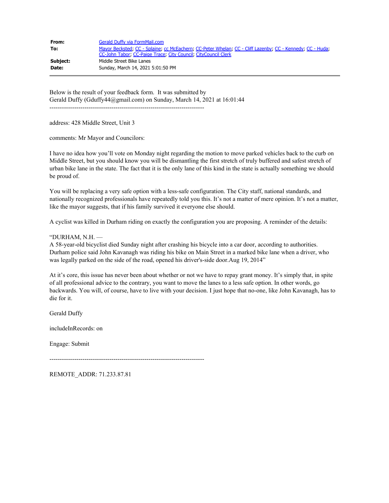| From:    | Gerald Duffy via FormMail.com                                                                             |
|----------|-----------------------------------------------------------------------------------------------------------|
| To:      | Mayor Becksted, CC - Splaine, cc McEachern, CC-Peter Whelan, CC - Cliff Lazenby, CC - Kennedy, CC - Huda, |
|          | CC-John Tabor: CC-Paige Trace: City Council: CityCouncil Clerk                                            |
| Subject: | Middle Street Bike Lanes                                                                                  |
| Date:    | Sunday, March 14, 2021 5:01:50 PM                                                                         |

Below is the result of your feedback form. It was submitted by Gerald Duffy (Gduffy44@gmail.com) on Sunday, March 14, 2021 at 16:01:44 ---------------------------------------------------------------------------

address: 428 Middle Street, Unit 3

comments: Mr Mayor and Councilors:

I have no idea how you'll vote on Monday night regarding the motion to move parked vehicles back to the curb on Middle Street, but you should know you will be dismantling the first stretch of truly buffered and safest stretch of urban bike lane in the state. The fact that it is the only lane of this kind in the state is actually something we should be proud of.

You will be replacing a very safe option with a less-safe configuration. The City staff, national standards, and nationally recognized professionals have repeatedly told you this. It's not a matter of mere opinion. It's not a matter, like the mayor suggests, that if his family survived it everyone else should.

A cyclist was killed in Durham riding on exactly the configuration you are proposing. A reminder of the details:

### "DURHAM, N.H. —

A 58-year-old bicyclist died Sunday night after crashing his bicycle into a car door, according to authorities. Durham police said John Kavanagh was riding his bike on Main Street in a marked bike lane when a driver, who was legally parked on the side of the road, opened his driver's-side door.Aug 19, 2014"

At it's core, this issue has never been about whether or not we have to repay grant money. It's simply that, in spite of all professional advice to the contrary, you want to move the lanes to a less safe option. In other words, go backwards. You will, of course, have to live with your decision. I just hope that no-one, like John Kavanagh, has to die for it.

Gerald Duffy

includeInRecords: on

Engage: Submit

---------------------------------------------------------------------------

REMOTE\_ADDR: 71.233.87.81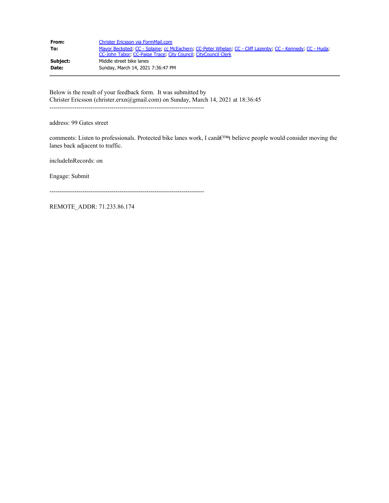| From:    | Christer Ericsson via FormMail.com                                                                                                                                          |
|----------|-----------------------------------------------------------------------------------------------------------------------------------------------------------------------------|
| To:      | Mayor Becksted, CC - Splaine, cc McEachern, CC-Peter Whelan, CC - Cliff Lazenby, CC - Kennedy, CC - Huda,<br>CC-John Tabor, CC-Paige Trace, City Council, CityCouncil Clerk |
| Subject: | Middle street bike lanes                                                                                                                                                    |
| Date:    | Sunday, March 14, 2021 7:36:47 PM                                                                                                                                           |

Below is the result of your feedback form. It was submitted by Christer Ericsson (christer.erxn@gmail.com) on Sunday, March 14, 2021 at 18:36:45 ---------------------------------------------------------------------------

address: 99 Gates street

comments: Listen to professionals. Protected bike lanes work, I canâ $\epsilon^{TM}$ t believe people would consider moving the lanes back adjacent to traffic.

includeInRecords: on

Engage: Submit

---------------------------------------------------------------------------

REMOTE\_ADDR: 71.233.86.174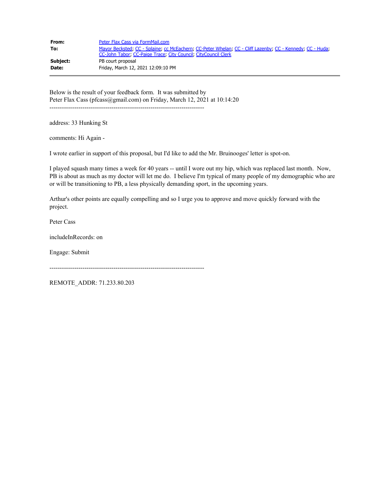| From:        | Peter Flax Cass via FormMail.com                                                                                                                                            |
|--------------|-----------------------------------------------------------------------------------------------------------------------------------------------------------------------------|
| To:          | Mayor Becksted, CC - Splaine, cc McEachern, CC-Peter Whelan, CC - Cliff Lazenby, CC - Kennedy, CC - Huda,<br>CC-John Tabor, CC-Paige Trace, City Council, CityCouncil Clerk |
| Subject:     | PB court proposal                                                                                                                                                           |
| <b>Date:</b> | Friday, March 12, 2021 12:09:10 PM                                                                                                                                          |

Below is the result of your feedback form. It was submitted by Peter Flax Cass (pfcass@gmail.com) on Friday, March 12, 2021 at 10:14:20 ---------------------------------------------------------------------------

address: 33 Hunking St

comments: Hi Again -

I wrote earlier in support of this proposal, but I'd like to add the Mr. Bruinooges' letter is spot-on.

I played squash many times a week for 40 years -- until I wore out my hip, which was replaced last month. Now, PB is about as much as my doctor will let me do. I believe I'm typical of many people of my demographic who are or will be transitioning to PB, a less physically demanding sport, in the upcoming years.

Arthur's other points are equally compelling and so I urge you to approve and move quickly forward with the project.

Peter Cass

includeInRecords: on

Engage: Submit

---------------------------------------------------------------------------

REMOTE\_ADDR: 71.233.80.203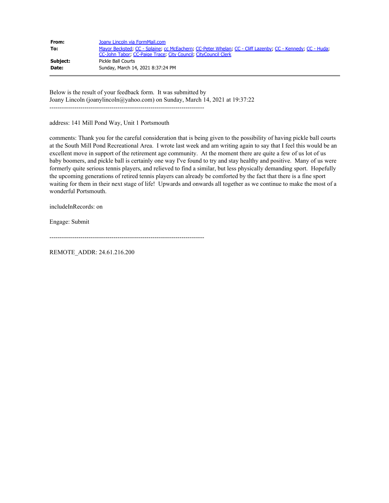| From:    | Joany Lincoln via FormMail.com                                                                            |
|----------|-----------------------------------------------------------------------------------------------------------|
| To:      | Mayor Becksted; CC - Splaine; cc McEachern; CC-Peter Whelan; CC - Cliff Lazenby; CC - Kennedy; CC - Huda; |
|          | CC-John Tabor, CC-Paige Trace, City Council, CityCouncil Clerk                                            |
| Subject: | Pickle Ball Courts                                                                                        |
| Date:    | Sunday, March 14, 2021 8:37:24 PM                                                                         |

Below is the result of your feedback form. It was submitted by Joany Lincoln (joanylincoln@yahoo.com) on Sunday, March 14, 2021 at 19:37:22 ---------------------------------------------------------------------------

address: 141 Mill Pond Way, Unit 1 Portsmouth

comments: Thank you for the careful consideration that is being given to the possibility of having pickle ball courts at the South Mill Pond Recreational Area. I wrote last week and am writing again to say that I feel this would be an excellent move in support of the retirement age community. At the moment there are quite a few of us lot of us baby boomers, and pickle ball is certainly one way I've found to try and stay healthy and positive. Many of us were formerly quite serious tennis players, and relieved to find a similar, but less physically demanding sport. Hopefully the upcoming generations of retired tennis players can already be comforted by the fact that there is a fine sport waiting for them in their next stage of life! Upwards and onwards all together as we continue to make the most of a wonderful Portsmouth.

includeInRecords: on

Engage: Submit

```
---------------------------------------------------------------------------
```
REMOTE\_ADDR: 24.61.216.200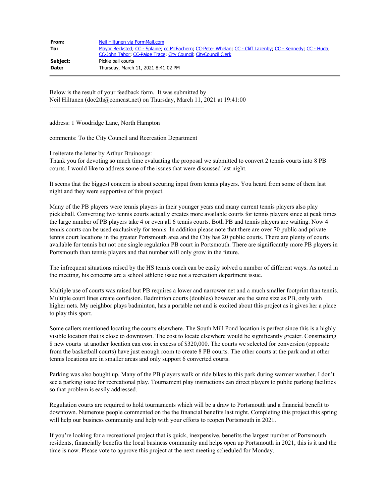| From:    | Neil Hiltunen via FormMail.com                                                                                                                                              |
|----------|-----------------------------------------------------------------------------------------------------------------------------------------------------------------------------|
| To:      | Mayor Becksted, CC - Splaine, cc McEachern, CC-Peter Whelan, CC - Cliff Lazenby, CC - Kennedy, CC - Huda,<br>CC-John Tabor: CC-Paige Trace: City Council: CityCouncil Clerk |
| Subject: | Pickle ball courts                                                                                                                                                          |
| Date:    | Thursday, March 11, 2021 8:41:02 PM                                                                                                                                         |

Below is the result of your feedback form. It was submitted by Neil Hiltunen (doc2th@comcast.net) on Thursday, March 11, 2021 at 19:41:00 ---------------------------------------------------------------------------

address: 1 Woodridge Lane, North Hampton

comments: To the City Council and Recreation Department

I reiterate the letter by Arthur Bruinooge:

Thank you for devoting so much time evaluating the proposal we submitted to convert 2 tennis courts into 8 PB courts. I would like to address some of the issues that were discussed last night.

It seems that the biggest concern is about securing input from tennis players. You heard from some of them last night and they were supportive of this project.

Many of the PB players were tennis players in their younger years and many current tennis players also play pickleball. Converting two tennis courts actually creates more available courts for tennis players since at peak times the large number of PB players take 4 or even all 6 tennis courts. Both PB and tennis players are waiting. Now 4 tennis courts can be used exclusively for tennis. In addition please note that there are over 70 public and private tennis court locations in the greater Portsmouth area and the City has 20 public courts. There are plenty of courts available for tennis but not one single regulation PB court in Portsmouth. There are significantly more PB players in Portsmouth than tennis players and that number will only grow in the future.

The infrequent situations raised by the HS tennis coach can be easily solved a number of different ways. As noted in the meeting, his concerns are a school athletic issue not a recreation department issue.

Multiple use of courts was raised but PB requires a lower and narrower net and a much smaller footprint than tennis. Multiple court lines create confusion. Badminton courts (doubles) however are the same size as PB, only with higher nets. My neighbor plays badminton, has a portable net and is excited about this project as it gives her a place to play this sport.

Some callers mentioned locating the courts elsewhere. The South Mill Pond location is perfect since this is a highly visible location that is close to downtown. The cost to locate elsewhere would be significantly greater. Constructing 8 new courts at another location can cost in excess of \$320,000. The courts we selected for conversion (opposite from the basketball courts) have just enough room to create 8 PB courts. The other courts at the park and at other tennis locations are in smaller areas and only support 6 converted courts.

Parking was also bought up. Many of the PB players walk or ride bikes to this park during warmer weather. I don't see a parking issue for recreational play. Tournament play instructions can direct players to public parking facilities so that problem is easily addressed.

Regulation courts are required to hold tournaments which will be a draw to Portsmouth and a financial benefit to downtown. Numerous people commented on the the financial benefits last night. Completing this project this spring will help our business community and help with your efforts to reopen Portsmouth in 2021.

If you're looking for a recreational project that is quick, inexpensive, benefits the largest number of Portsmouth residents, financially benefits the local business community and helps open up Portsmouth in 2021, this is it and the time is now. Please vote to approve this project at the next meeting scheduled for Monday.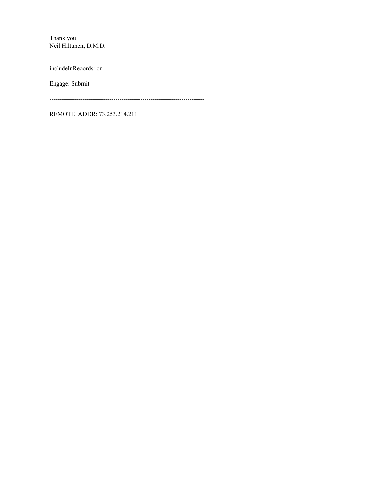Thank you Neil Hiltunen, D.M.D.

includeInRecords: on

Engage: Submit

---------------------------------------------------------------------------

REMOTE\_ADDR: 73.253.214.211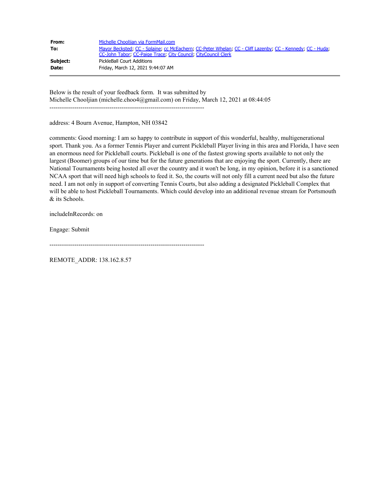| From:    | Michelle Chooljian via FormMail.com                                                                       |
|----------|-----------------------------------------------------------------------------------------------------------|
| To:      | Mayor Becksted; CC - Splaine; cc McEachern; CC-Peter Whelan; CC - Cliff Lazenby; CC - Kennedy; CC - Huda; |
|          | CC-John Tabor, CC-Paige Trace, City Council, CityCouncil Clerk                                            |
| Subject: | PickleBall Court Additions                                                                                |
| Date:    | Friday, March 12, 2021 9:44:07 AM                                                                         |

Below is the result of your feedback form. It was submitted by Michelle Chooljian (michelle.choo4@gmail.com) on Friday, March 12, 2021 at 08:44:05 ---------------------------------------------------------------------------

address: 4 Bourn Avenue, Hampton, NH 03842

comments: Good morning: I am so happy to contribute in support of this wonderful, healthy, multigenerational sport. Thank you. As a former Tennis Player and current Pickleball Player living in this area and Florida, I have seen an enormous need for Pickleball courts. Pickleball is one of the fastest growing sports available to not only the largest (Boomer) groups of our time but for the future generations that are enjoying the sport. Currently, there are National Tournaments being hosted all over the country and it won't be long, in my opinion, before it is a sanctioned NCAA sport that will need high schools to feed it. So, the courts will not only fill a current need but also the future need. I am not only in support of converting Tennis Courts, but also adding a designated Pickleball Complex that will be able to host Pickleball Tournaments. Which could develop into an additional revenue stream for Portsmouth & its Schools.

includeInRecords: on

Engage: Submit

---------------------------------------------------------------------------

REMOTE\_ADDR: 138.162.8.57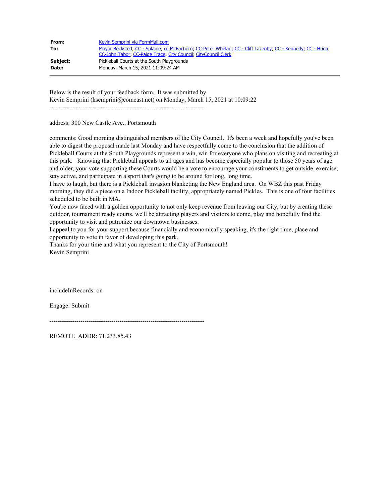| From:    | Kevin Semprini via FormMail.com                                                                           |
|----------|-----------------------------------------------------------------------------------------------------------|
| To:      | Mayor Becksted; CC - Splaine; cc McEachern; CC-Peter Whelan; CC - Cliff Lazenby; CC - Kennedy; CC - Huda; |
|          | CC-John Tabor: CC-Paige Trace: City Council: CityCouncil Clerk                                            |
| Subject: | Pickleball Courts at the South Playgrounds                                                                |
| Date:    | Monday, March 15, 2021 11:09:24 AM                                                                        |

Below is the result of your feedback form. It was submitted by Kevin Semprini (ksemprini@comcast.net) on Monday, March 15, 2021 at 10:09:22 ---------------------------------------------------------------------------

address: 300 New Castle Ave., Portsmouth

comments: Good morning distinguished members of the City Council. It's been a week and hopefully you've been able to digest the proposal made last Monday and have respectfully come to the conclusion that the addition of Pickleball Courts at the South Playgrounds represent a win, win for everyone who plans on visiting and recreating at this park. Knowing that Pickleball appeals to all ages and has become especially popular to those 50 years of age and older, your vote supporting these Courts would be a vote to encourage your constituents to get outside, exercise, stay active, and participate in a sport that's going to be around for long, long time.

I have to laugh, but there is a Pickleball invasion blanketing the New England area. On WBZ this past Friday morning, they did a piece on a Indoor Pickleball facility, appropriately named Pickles. This is one of four facilities scheduled to be built in MA.

You're now faced with a golden opportunity to not only keep revenue from leaving our City, but by creating these outdoor, tournament ready courts, we'll be attracting players and visitors to come, play and hopefully find the opportunity to visit and patronize our downtown businesses.

I appeal to you for your support because financially and economically speaking, it's the right time, place and opportunity to vote in favor of developing this park.

Thanks for your time and what you represent to the City of Portsmouth! Kevin Semprini

includeInRecords: on

Engage: Submit

---------------------------------------------------------------------------

REMOTE\_ADDR: 71.233.85.43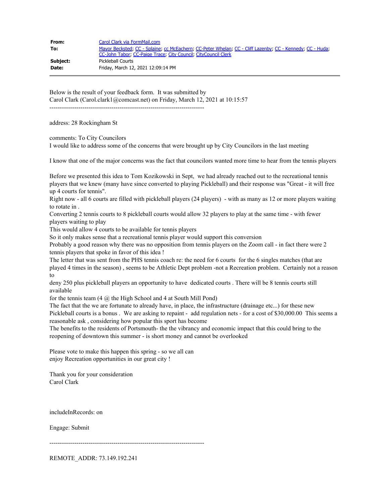| From:    | Carol Clark via FormMail.com                                                                              |
|----------|-----------------------------------------------------------------------------------------------------------|
| To:      | Mayor Becksted: CC - Splaine: cc McEachern: CC-Peter Whelan: CC - Cliff Lazenby: CC - Kennedy: CC - Huda: |
|          | CC-John Tabor: CC-Paige Trace: City Council: CityCouncil Clerk                                            |
| Subject: | Pickleball Courts                                                                                         |
| Date:    | Friday, March 12, 2021 12:09:14 PM                                                                        |

Below is the result of your feedback form. It was submitted by Carol Clark (Carol.clark1@comcast.net) on Friday, March 12, 2021 at 10:15:57

---------------------------------------------------------------------------

address: 28 Rockingham St

comments: To City Councilors I would like to address some of the concerns that were brought up by City Councilors in the last meeting

I know that one of the major concerns was the fact that councilors wanted more time to hear from the tennis players

Before we presented this idea to Tom Kozikowski in Sept, we had already reached out to the recreational tennis players that we knew (many have since converted to playing Pickleball) and their response was "Great - it will free up 4 courts for tennis".

Right now - all 6 courts are filled with pickleball players (24 players) - with as many as 12 or more players waiting to rotate in .

Converting 2 tennis courts to 8 pickleball courts would allow 32 players to play at the same time - with fewer players waiting to play

This would allow 4 courts to be available for tennis players

So it only makes sense that a recreational tennis player would support this conversion

Probably a good reason why there was no opposition from tennis players on the Zoom call - in fact there were 2 tennis players that spoke in favor of this idea !

The letter that was sent from the PHS tennis coach re: the need for 6 courts for the 6 singles matches (that are played 4 times in the season) , seems to be Athletic Dept problem -not a Recreation problem. Certainly not a reason to

deny 250 plus pickleball players an opportunity to have dedicated courts . There will be 8 tennis courts still available

for the tennis team  $(4 \omega)$  the High School and 4 at South Mill Pond)

The fact that the we are fortunate to already have, in place, the infrastructure (drainage etc...) for these new Pickleball courts is a bonus . We are asking to repaint - add regulation nets - for a cost of \$30,000.00 This seems a reasonable ask , considering how popular this sport has become

The benefits to the residents of Portsmouth- the the vibrancy and economic impact that this could bring to the reopening of downtown this summer - is short money and cannot be overlooked

Please vote to make this happen this spring - so we all can enjoy Recreation opportunities in our great city !

Thank you for your consideration Carol Clark

includeInRecords: on

Engage: Submit

---------------------------------------------------------------------------

REMOTE\_ADDR: 73.149.192.241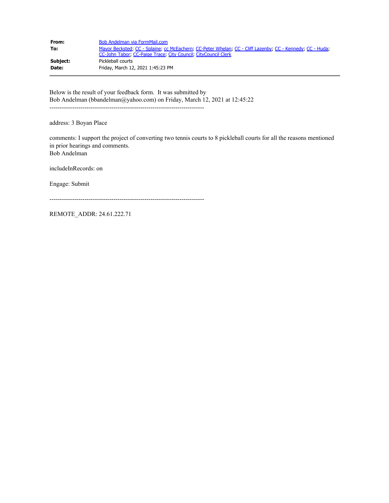| From:    | Bob Andelman via FormMail.com                                                                                                                                               |
|----------|-----------------------------------------------------------------------------------------------------------------------------------------------------------------------------|
| To:      | Mayor Becksted, CC - Splaine, cc McEachern, CC-Peter Whelan, CC - Cliff Lazenby, CC - Kennedy, CC - Huda,<br>CC-John Tabor, CC-Paige Trace, City Council, CityCouncil Clerk |
| Subject: | Pickleball courts                                                                                                                                                           |
| Date:    | Friday, March 12, 2021 1:45:23 PM                                                                                                                                           |

Below is the result of your feedback form. It was submitted by Bob Andelman (bbandelman@yahoo.com) on Friday, March 12, 2021 at 12:45:22 ---------------------------------------------------------------------------

address: 3 Boyan Place

comments: I support the project of converting two tennis courts to 8 pickleball courts for all the reasons mentioned in prior hearings and comments. Bob Andelman

includeInRecords: on

Engage: Submit

---------------------------------------------------------------------------

REMOTE\_ADDR: 24.61.222.71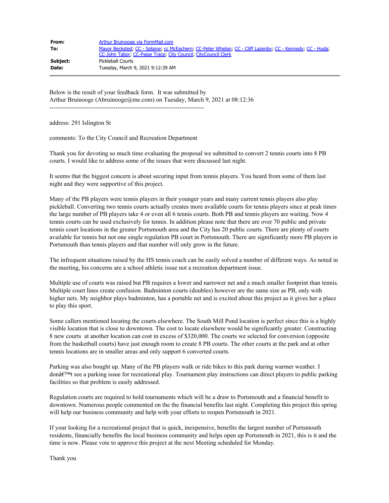| From:    | Arthur Bruinooge via FormMail.com                                                                                                                                           |
|----------|-----------------------------------------------------------------------------------------------------------------------------------------------------------------------------|
| To:      | Mayor Becksted, CC - Splaine, cc McEachern, CC-Peter Whelan, CC - Cliff Lazenby, CC - Kennedy, CC - Huda,<br>CC-John Tabor, CC-Paige Trace, City Council, CityCouncil Clerk |
| Subject: | Pickleball Courts                                                                                                                                                           |
| Date:    | Tuesdav, March 9, 2021 9:12:39 AM                                                                                                                                           |

Below is the result of your feedback form. It was submitted by Arthur Bruinooge (Abruinooge@me.com) on Tuesday, March 9, 2021 at 08:12:36 ---------------------------------------------------------------------------

address: 291 Islington St

comments: To the City Council and Recreation Department

Thank you for devoting so much time evaluating the proposal we submitted to convert 2 tennis courts into 8 PB courts. I would like to address some of the issues that were discussed last night.

It seems that the biggest concern is about securing input from tennis players. You heard from some of them last night and they were supportive of this project.

Many of the PB players were tennis players in their younger years and many current tennis players also play pickleball. Converting two tennis courts actually creates more available courts for tennis players since at peak times the large number of PB players take 4 or even all 6 tennis courts. Both PB and tennis players are waiting. Now 4 tennis courts can be used exclusively for tennis. In addition please note that there are over 70 public and private tennis court locations in the greater Portsmouth area and the City has 20 public courts. There are plenty of courts available for tennis but not one single regulation PB court in Portsmouth. There are significantly more PB players in Portsmouth than tennis players and that number will only grow in the future.

The infrequent situations raised by the HS tennis coach can be easily solved a number of different ways. As noted in the meeting, his concerns are a school athletic issue not a recreation department issue.

Multiple use of courts was raised but PB requires a lower and narrower net and a much smaller footprint than tennis. Multiple court lines create confusion. Badminton courts (doubles) however are the same size as PB, only with higher nets. My neighbor plays badminton, has a portable net and is excited about this project as it gives her a place to play this sport.

Some callers mentioned locating the courts elsewhere. The South Mill Pond location is perfect since this is a highly visible location that is close to downtown. The cost to locate elsewhere would be significantly greater. Constructing 8 new courts at another location can cost in excess of \$320,000. The courts we selected for conversion (opposite from the basketball courts) have just enough room to create 8 PB courts. The other courts at the park and at other tennis locations are in smaller areas and only support 6 converted courts.

Parking was also bought up. Many of the PB players walk or ride bikes to this park during warmer weather. I don $\hat{a} \in W$ t see a parking issue for recreational play. Tournament play instructions can direct players to public parking facilities so that problem is easily addressed.

Regulation courts are required to hold tournaments which will be a draw to Portsmouth and a financial benefit to downtown. Numerous people commented on the the financial benefits last night. Completing this project this spring will help our business community and help with your efforts to reopen Portsmouth in 2021.

If your looking for a recreational project that is quick, inexpensive, benefits the largest number of Portsmouth residents, financially benefits the local business community and helps open up Portsmouth in 2021, this is it and the time is now. Please vote to approve this project at the next Meeting scheduled for Monday.

Thank you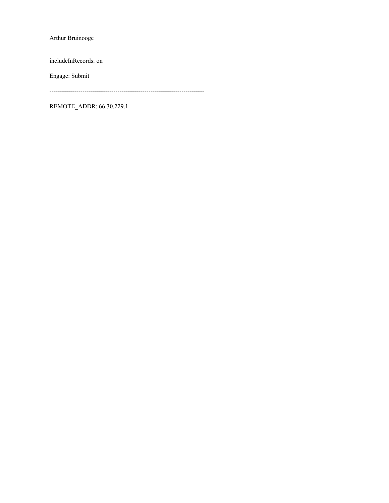Arthur Bruinooge

includeInRecords: on

Engage: Submit

---------------------------------------------------------------------------

REMOTE\_ADDR: 66.30.229.1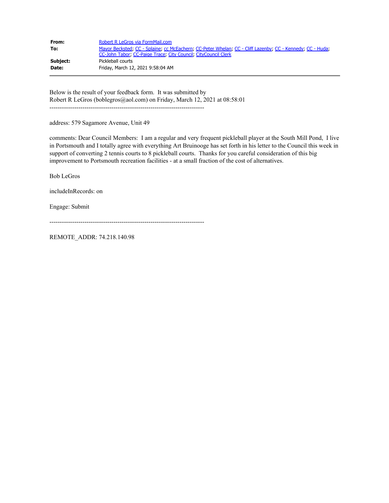| From:    | Robert R LeGros via FormMail.com                                                                                                                                            |
|----------|-----------------------------------------------------------------------------------------------------------------------------------------------------------------------------|
| To:      | Mayor Becksted, CC - Splaine, cc McEachern, CC-Peter Whelan, CC - Cliff Lazenby, CC - Kennedy, CC - Huda,<br>CC-John Tabor: CC-Paige Trace: City Council: CityCouncil Clerk |
| Subject: | Pickleball courts                                                                                                                                                           |
| Date:    | Friday, March 12, 2021 9:58:04 AM                                                                                                                                           |

Below is the result of your feedback form. It was submitted by Robert R LeGros (boblegros@aol.com) on Friday, March 12, 2021 at 08:58:01 ---------------------------------------------------------------------------

address: 579 Sagamore Avenue, Unit 49

comments: Dear Council Members: I am a regular and very frequent pickleball player at the South Mill Pond, I live in Portsmouth and I totally agree with everything Art Bruinooge has set forth in his letter to the Council this week in support of converting 2 tennis courts to 8 pickleball courts. Thanks for you careful consideration of this big improvement to Portsmouth recreation facilities - at a small fraction of the cost of alternatives.

Bob LeGros

includeInRecords: on

Engage: Submit

---------------------------------------------------------------------------

REMOTE\_ADDR: 74.218.140.98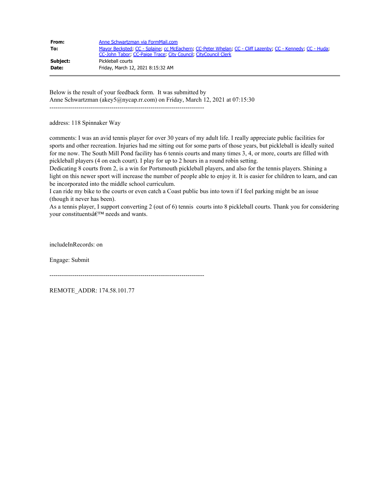| From:    | Anne Schwartzman via FormMail.com                                                                         |
|----------|-----------------------------------------------------------------------------------------------------------|
| To:      | Mayor Becksted; CC - Splaine; cc McEachern; CC-Peter Whelan; CC - Cliff Lazenby; CC - Kennedy; CC - Huda; |
|          | CC-John Tabor, CC-Paige Trace, City Council, CityCouncil Clerk                                            |
| Subject: | Pickleball courts                                                                                         |
| Date:    | Friday, March 12, 2021 8:15:32 AM                                                                         |

Below is the result of your feedback form. It was submitted by Anne Schwartzman (akey5@nycap.rr.com) on Friday, March 12, 2021 at 07:15:30

---------------------------------------------------------------------------

address: 118 Spinnaker Way

comments: I was an avid tennis player for over 30 years of my adult life. I really appreciate public facilities for sports and other recreation. Injuries had me sitting out for some parts of those years, but pickleball is ideally suited for me now. The South Mill Pond facility has 6 tennis courts and many times 3, 4, or more, courts are filled with pickleball players (4 on each court). I play for up to 2 hours in a round robin setting.

Dedicating 8 courts from 2, is a win for Portsmouth pickleball players, and also for the tennis players. Shining a light on this newer sport will increase the number of people able to enjoy it. It is easier for children to learn, and can be incorporated into the middle school curriculum.

I can ride my bike to the courts or even catch a Coast public bus into town if I feel parking might be an issue (though it never has been).

As a tennis player, I support converting 2 (out of 6) tennis courts into 8 pickleball courts. Thank you for considering your constituents' needs and wants.

includeInRecords: on

Engage: Submit

---------------------------------------------------------------------------

REMOTE\_ADDR: 174.58.101.77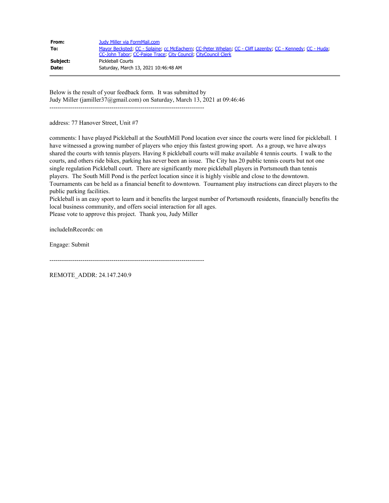| From:    | Judy Miller via FormMail.com                                                                              |
|----------|-----------------------------------------------------------------------------------------------------------|
| To:      | Mayor Becksted, CC - Splaine, cc McEachern, CC-Peter Whelan, CC - Cliff Lazenby, CC - Kennedy, CC - Huda, |
|          | CC-John Tabor, CC-Paige Trace, City Council, CityCouncil Clerk                                            |
| Subject: | Pickleball Courts                                                                                         |
| Date:    | Saturday, March 13, 2021 10:46:48 AM                                                                      |

Below is the result of your feedback form. It was submitted by Judy Miller (jamiller37@gmail.com) on Saturday, March 13, 2021 at 09:46:46 ---------------------------------------------------------------------------

address: 77 Hanover Street, Unit #7

comments: I have played Pickleball at the SouthMill Pond location ever since the courts were lined for pickleball. I have witnessed a growing number of players who enjoy this fastest growing sport. As a group, we have always shared the courts with tennis players. Having 8 pickleball courts will make available 4 tennis courts. I walk to the courts, and others ride bikes, parking has never been an issue. The City has 20 public tennis courts but not one single regulation Pickleball court. There are significantly more pickleball players in Portsmouth than tennis players. The South Mill Pond is the perfect location since it is highly visible and close to the downtown. Tournaments can be held as a financial benefit to downtown. Tournament play instructions can direct players to the public parking facilities.

Pickleball is an easy sport to learn and it benefits the largest number of Portsmouth residents, financially benefits the local business community, and offers social interaction for all ages.

Please vote to approve this project. Thank you, Judy Miller

includeInRecords: on

Engage: Submit

---------------------------------------------------------------------------

REMOTE\_ADDR: 24.147.240.9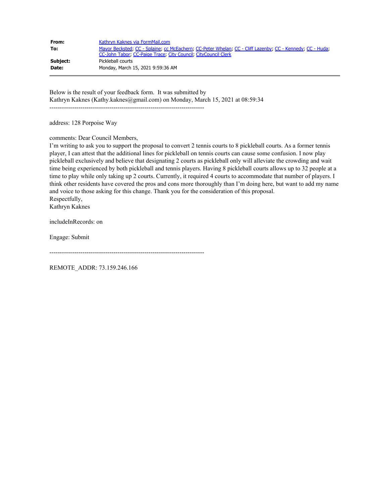| From:    | Kathryn Kaknes via FormMail.com                                                                           |
|----------|-----------------------------------------------------------------------------------------------------------|
| To:      | Mayor Becksted, CC - Splaine, cc McEachern, CC-Peter Whelan, CC - Cliff Lazenby, CC - Kennedy, CC - Huda; |
|          | CC-John Tabor, CC-Paige Trace, City Council, CityCouncil Clerk                                            |
| Subject: | Pickleball courts                                                                                         |
| Date:    | Monday, March 15, 2021 9:59:36 AM                                                                         |

Below is the result of your feedback form. It was submitted by Kathryn Kaknes (Kathy.kaknes@gmail.com) on Monday, March 15, 2021 at 08:59:34

---------------------------------------------------------------------------

address: 128 Porpoise Way

comments: Dear Council Members,

I'm writing to ask you to support the proposal to convert 2 tennis courts to 8 pickleball courts. As a former tennis player, I can attest that the additional lines for pickleball on tennis courts can cause some confusion. I now play pickleball exclusively and believe that designating 2 courts as pickleball only will alleviate the crowding and wait time being experienced by both pickleball and tennis players. Having 8 pickleball courts allows up to 32 people at a time to play while only taking up 2 courts. Currently, it required 4 courts to accommodate that number of players. I think other residents have covered the pros and cons more thoroughly than I'm doing here, but want to add my name and voice to those asking for this change. Thank you for the consideration of this proposal. Respectfully,

Kathryn Kaknes

includeInRecords: on

Engage: Submit

---------------------------------------------------------------------------

REMOTE\_ADDR: 73.159.246.166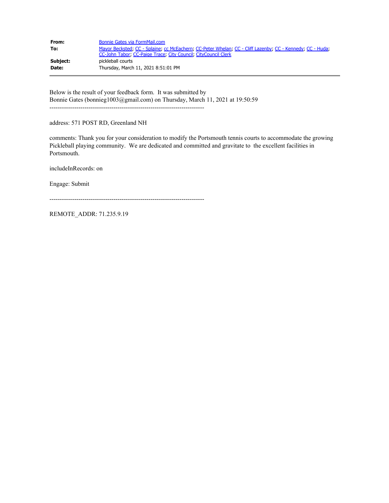| From:    | Bonnie Gates via FormMail.com                                                                                                                                               |
|----------|-----------------------------------------------------------------------------------------------------------------------------------------------------------------------------|
| To:      | Mayor Becksted, CC - Splaine, cc McEachern, CC-Peter Whelan, CC - Cliff Lazenby, CC - Kennedy, CC - Huda,<br>CC-John Tabor, CC-Paige Trace, City Council, CityCouncil Clerk |
| Subject: | pickleball courts                                                                                                                                                           |
| Date:    | Thursday, March 11, 2021 8:51:01 PM                                                                                                                                         |

Below is the result of your feedback form. It was submitted by Bonnie Gates (bonnieg1003@gmail.com) on Thursday, March 11, 2021 at 19:50:59 ---------------------------------------------------------------------------

address: 571 POST RD, Greenland NH

comments: Thank you for your consideration to modify the Portsmouth tennis courts to accommodate the growing Pickleball playing community. We are dedicated and committed and gravitate to the excellent facilities in Portsmouth.

includeInRecords: on

Engage: Submit

---------------------------------------------------------------------------

REMOTE\_ADDR: 71.235.9.19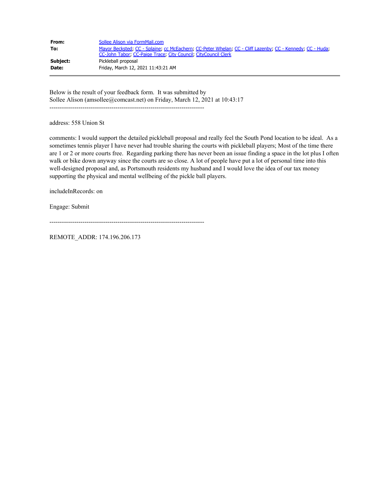| From:        | Sollee Alison via FormMail.com                                                                                                                                              |
|--------------|-----------------------------------------------------------------------------------------------------------------------------------------------------------------------------|
| To:          | Mayor Becksted; CC - Splaine; cc McEachern; CC-Peter Whelan; CC - Cliff Lazenby; CC - Kennedy; CC - Huda;<br>CC-John Tabor, CC-Paige Trace, City Council, CityCouncil Clerk |
| Subject:     | Pickleball proposal                                                                                                                                                         |
| <b>Date:</b> | Friday, March 12, 2021 11:43:21 AM                                                                                                                                          |

Below is the result of your feedback form. It was submitted by Sollee Alison (amsollee@comcast.net) on Friday, March 12, 2021 at 10:43:17 ---------------------------------------------------------------------------

address: 558 Union St

comments: I would support the detailed pickleball proposal and really feel the South Pond location to be ideal. As a sometimes tennis player I have never had trouble sharing the courts with pickleball players; Most of the time there are 1 or 2 or more courts free. Regarding parking there has never been an issue finding a space in the lot plus I often walk or bike down anyway since the courts are so close. A lot of people have put a lot of personal time into this well-designed proposal and, as Portsmouth residents my husband and I would love the idea of our tax money supporting the physical and mental wellbeing of the pickle ball players.

includeInRecords: on

Engage: Submit

---------------------------------------------------------------------------

REMOTE\_ADDR: 174.196.206.173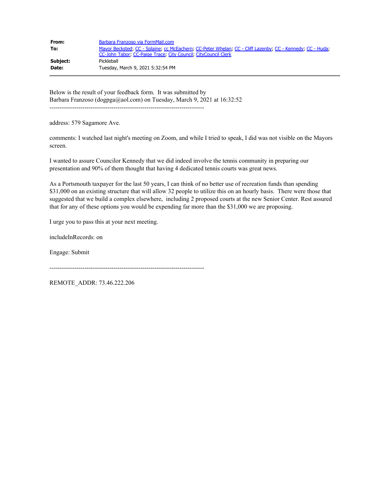| From:    | Barbara Franzoso via FormMail.com                                                                                                                                           |
|----------|-----------------------------------------------------------------------------------------------------------------------------------------------------------------------------|
| To:      | Mayor Becksted, CC - Splaine, cc McEachern, CC-Peter Whelan, CC - Cliff Lazenby, CC - Kennedy, CC - Huda,<br>CC-John Tabor, CC-Paige Trace, City Council, CityCouncil Clerk |
| Subject: | Pickleball                                                                                                                                                                  |
| Date:    | Tuesday, March 9, 2021 5:32:54 PM                                                                                                                                           |

Below is the result of your feedback form. It was submitted by Barbara Franzoso (dogpga@aol.com) on Tuesday, March 9, 2021 at 16:32:52 ---------------------------------------------------------------------------

address: 579 Sagamore Ave.

comments: I watched last night's meeting on Zoom, and while I tried to speak, I did was not visible on the Mayors screen.

I wanted to assure Councilor Kennedy that we did indeed involve the tennis community in preparing our presentation and 90% of them thought that having 4 dedicated tennis courts was great news.

As a Portsmouth taxpayer for the last 50 years, I can think of no better use of recreation funds than spending \$31,000 on an existing structure that will allow 32 people to utilize this on an hourly basis. There were those that suggested that we build a complex elsewhere, including 2 proposed courts at the new Senior Center. Rest assured that for any of these options you would be expending far more than the \$31,000 we are proposing.

I urge you to pass this at your next meeting.

includeInRecords: on

Engage: Submit

---------------------------------------------------------------------------

REMOTE\_ADDR: 73.46.222.206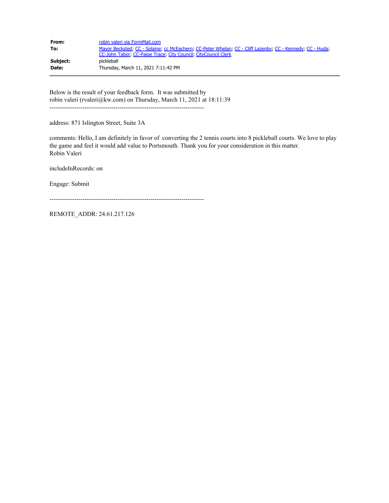| From:    | robin valeri via FormMail.com                                                                                                                                               |
|----------|-----------------------------------------------------------------------------------------------------------------------------------------------------------------------------|
| To:      | Mayor Becksted, CC - Splaine, cc McEachern, CC-Peter Whelan, CC - Cliff Lazenby, CC - Kennedy, CC - Huda,<br>CC-John Tabor, CC-Paige Trace, City Council, CityCouncil Clerk |
| Subject: | pickleball                                                                                                                                                                  |
| Date:    | Thursday, March 11, 2021 7:11:42 PM                                                                                                                                         |

Below is the result of your feedback form. It was submitted by robin valeri (rvaleri@kw.com) on Thursday, March 11, 2021 at 18:11:39 ---------------------------------------------------------------------------

address: 871 Islington Street, Suite 3A

comments: Hello, I am definitely in favor of converting the 2 tennis courts into 8 pickleball courts. We love to play the game and feel it would add value to Portsmouth. Thank you for your consideration in this matter. Robin Valeri

includeInRecords: on

Engage: Submit

---------------------------------------------------------------------------

REMOTE\_ADDR: 24.61.217.126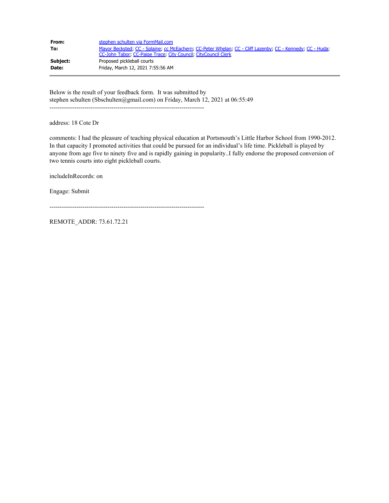| From:        | stephen schulten via FormMail.com                                                                                                                                           |
|--------------|-----------------------------------------------------------------------------------------------------------------------------------------------------------------------------|
| To:          | Mayor Becksted, CC - Splaine, cc McEachern, CC-Peter Whelan, CC - Cliff Lazenby, CC - Kennedy, CC - Huda,<br>CC-John Tabor: CC-Paige Trace: City Council: CityCouncil Clerk |
| Subject:     | Proposed pickleball courts                                                                                                                                                  |
| <b>Date:</b> | Friday, March 12, 2021 7:55:56 AM                                                                                                                                           |

Below is the result of your feedback form. It was submitted by stephen schulten (Sbschulten@gmail.com) on Friday, March 12, 2021 at 06:55:49 ---------------------------------------------------------------------------

address: 18 Cote Dr

comments: I had the pleasure of teaching physical education at Portsmouth's Little Harbor School from 1990-2012. In that capacity I promoted activities that could be pursued for an individual's life time. Pickleball is played by anyone from age five to ninety five and is rapidly gaining in popularity..I fully endorse the proposed conversion of two tennis courts into eight pickleball courts.

includeInRecords: on

Engage: Submit

---------------------------------------------------------------------------

REMOTE\_ADDR: 73.61.72.21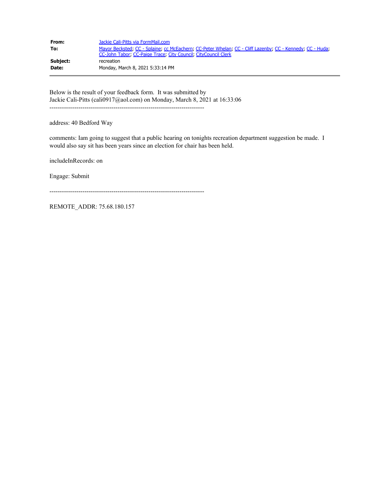| From:    | Jackie Cali-Pitts via FormMail.com                                                                                                                                          |
|----------|-----------------------------------------------------------------------------------------------------------------------------------------------------------------------------|
| To:      | Mayor Becksted, CC - Splaine, cc McEachern, CC-Peter Whelan, CC - Cliff Lazenby, CC - Kennedy, CC - Huda,<br>CC-John Tabor, CC-Paige Trace, City Council, CityCouncil Clerk |
| Subject: | recreation                                                                                                                                                                  |
| Date:    | Monday, March 8, 2021 5:33:14 PM                                                                                                                                            |

Below is the result of your feedback form. It was submitted by Jackie Cali-Pitts (cali0917@aol.com) on Monday, March 8, 2021 at 16:33:06 ---------------------------------------------------------------------------

address: 40 Bedford Way

comments: Iam going to suggest that a public hearing on tonights recreation department suggestion be made. I would also say sit has been years since an election for chair has been held.

includeInRecords: on

Engage: Submit

---------------------------------------------------------------------------

REMOTE\_ADDR: 75.68.180.157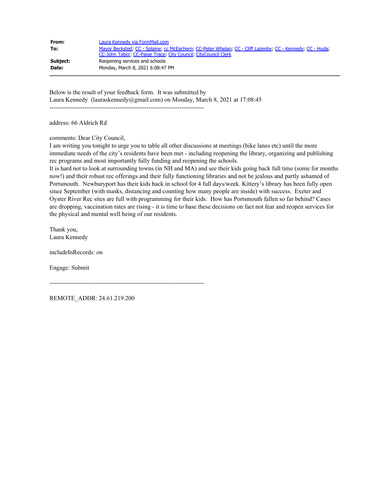| From:    | Laura Kennedy via FormMail.com                                                                            |
|----------|-----------------------------------------------------------------------------------------------------------|
| To:      | Mayor Becksted, CC - Splaine, cc McEachern, CC-Peter Whelan, CC - Cliff Lazenby, CC - Kennedy, CC - Huda, |
|          | CC-John Tabor, CC-Paige Trace, City Council, CityCouncil Clerk                                            |
| Subject: | Reopening services and schools                                                                            |
| Date:    | Monday, March 8, 2021 6:08:47 PM                                                                          |

Below is the result of your feedback form. It was submitted by Laura Kennedy (lauraskennedy@gmail.com) on Monday, March 8, 2021 at 17:08:45

---------------------------------------------------------------------------

address: 66 Aldrich Rd

comments: Dear City Council,

I am writing you tonight to urge you to table all other discussions at meetings (bike lanes etc) until the more immediate needs of the city's residents have been met - including reopening the library, organizing and publishing rec programs and most importantly fully funding and reopening the schools.

It is hard not to look at surrounding towns (in NH and MA) and see their kids going back full time (some for months now!) and their robust rec offerings and their fully functioning libraries and not be jealous and partly ashamed of Portsmouth. Newburyport has their kids back in school for 4 full days/week. Kittery's library has been fully open since September (with masks, distancing and counting how many people are inside) with success. Exeter and Oyster River Rec sites are full with programming for their kids. How has Portsmouth fallen so far behind? Cases are dropping, vaccination rates are rising - it is time to base these decisions on fact not fear and reopen services for the physical and mental well being of our residents.

Thank you, Laura Kennedy

includeInRecords: on

Engage: Submit

---------------------------------------------------------------------------

REMOTE\_ADDR: 24.61.219.200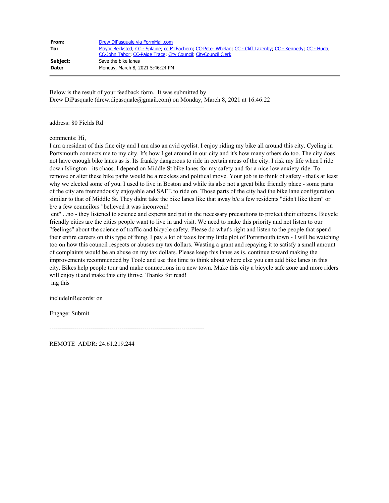| From:        | Drew DiPasquale via FormMail.com                                                                                                                                            |
|--------------|-----------------------------------------------------------------------------------------------------------------------------------------------------------------------------|
| To:          | Mayor Becksted, CC - Splaine, cc McEachern, CC-Peter Whelan, CC - Cliff Lazenby, CC - Kennedy, CC - Huda,<br>CC-John Tabor: CC-Paige Trace: City Council: CityCouncil Clerk |
| Subject:     | Save the bike lanes                                                                                                                                                         |
| <b>Date:</b> | Monday, March 8, 2021 5:46:24 PM                                                                                                                                            |

Below is the result of your feedback form. It was submitted by Drew DiPasquale (drew.dipasquale@gmail.com) on Monday, March 8, 2021 at 16:46:22

---------------------------------------------------------------------------

address: 80 Fields Rd

comments: Hi,

I am a resident of this fine city and I am also an avid cyclist. I enjoy riding my bike all around this city. Cycling in Portsmouth connects me to my city. It's how I get around in our city and it's how many others do too. The city does not have enough bike lanes as is. Its frankly dangerous to ride in certain areas of the city. I risk my life when I ride down Islington - its chaos. I depend on Middle St bike lanes for my safety and for a nice low anxiety ride. To remove or alter these bike paths would be a reckless and political move. Your job is to think of safety - that's at least why we elected some of you. I used to live in Boston and while its also not a great bike friendly place - some parts of the city are tremendously enjoyable and SAFE to ride on. Those parts of the city had the bike lane configuration similar to that of Middle St. They didnt take the bike lanes like that away b/c a few residents "didn't like them" or b/c a few councilors "believed it was inconveni!

ent" ...no - they listened to science and experts and put in the necessary precautions to protect their citizens. Bicycle friendly cities are the cities people want to live in and visit. We need to make this priority and not listen to our "feelings" about the science of traffic and bicycle safety. Please do what's right and listen to the people that spend their entire careers on this type of thing. I pay a lot of taxes for my little plot of Portsmouth town - I will be watching too on how this council respects or abuses my tax dollars. Wasting a grant and repaying it to satisfy a small amount of complaints would be an abuse on my tax dollars. Please keep this lanes as is, continue toward making the improvements recommended by Toole and use this time to think about where else you can add bike lanes in this city. Bikes help people tour and make connections in a new town. Make this city a bicycle safe zone and more riders will enjoy it and make this city thrive. Thanks for read! ing this

includeInRecords: on

Engage: Submit

---------------------------------------------------------------------------

REMOTE\_ADDR: 24.61.219.244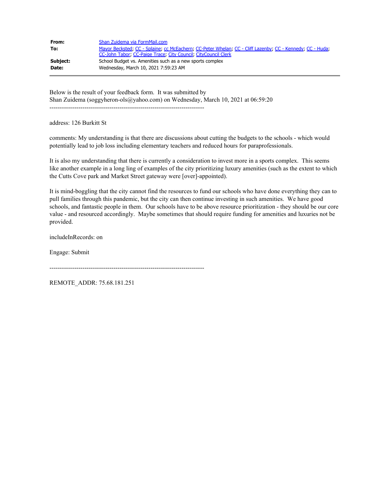| From:    | Shan Zuidema via FormMail.com                                                                             |
|----------|-----------------------------------------------------------------------------------------------------------|
| To:      | Mayor Becksted; CC - Splaine; cc McEachern; CC-Peter Whelan; CC - Cliff Lazenby; CC - Kennedy; CC - Huda; |
|          | CC-John Tabor, CC-Paige Trace, City Council, CityCouncil Clerk                                            |
| Subject: | School Budget vs. Amenities such as a new sports complex                                                  |
| Date:    | Wednesday, March 10, 2021 7:59:23 AM                                                                      |

Below is the result of your feedback form. It was submitted by Shan Zuidema (soggyheron-ols@yahoo.com) on Wednesday, March 10, 2021 at 06:59:20 ---------------------------------------------------------------------------

address: 126 Burkitt St

comments: My understanding is that there are discussions about cutting the budgets to the schools - which would potentially lead to job loss including elementary teachers and reduced hours for paraprofessionals.

It is also my understanding that there is currently a consideration to invest more in a sports complex. This seems like another example in a long ling of examples of the city prioritizing luxury amenities (such as the extent to which the Cutts Cove park and Market Street gateway were [over]-appointed).

It is mind-boggling that the city cannot find the resources to fund our schools who have done everything they can to pull families through this pandemic, but the city can then continue investing in such amenities. We have good schools, and fantastic people in them. Our schools have to be above resource prioritization - they should be our core value - and resourced accordingly. Maybe sometimes that should require funding for amenities and luxuries not be provided.

includeInRecords: on

Engage: Submit

---------------------------------------------------------------------------

REMOTE\_ADDR: 75.68.181.251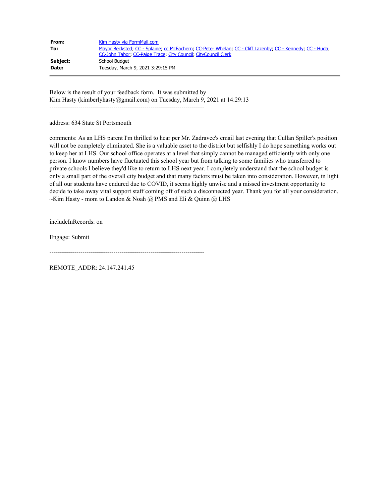| From:    | Kim Hasty via FormMail.com                                                                                                                                                  |
|----------|-----------------------------------------------------------------------------------------------------------------------------------------------------------------------------|
| To:      | Mayor Becksted, CC - Splaine, cc McEachern, CC-Peter Whelan, CC - Cliff Lazenby, CC - Kennedy, CC - Huda,<br>CC-John Tabor, CC-Paige Trace, City Council, CityCouncil Clerk |
| Subject: | School Budget                                                                                                                                                               |
| Date:    | Tuesday, March 9, 2021 3:29:15 PM                                                                                                                                           |

Below is the result of your feedback form. It was submitted by Kim Hasty (kimberlyhasty@gmail.com) on Tuesday, March 9, 2021 at 14:29:13

---------------------------------------------------------------------------

address: 634 State St Portsmouth

comments: As an LHS parent I'm thrilled to hear per Mr. Zadravec's email last evening that Cullan Spiller's position will not be completely eliminated. She is a valuable asset to the district but selfishly I do hope something works out to keep her at LHS. Our school office operates at a level that simply cannot be managed efficiently with only one person. I know numbers have fluctuated this school year but from talking to some families who transferred to private schools I believe they'd like to return to LHS next year. I completely understand that the school budget is only a small part of the overall city budget and that many factors must be taken into consideration. However, in light of all our students have endured due to COVID, it seems highly unwise and a missed investment opportunity to decide to take away vital support staff coming off of such a disconnected year. Thank you for all your consideration.  $\sim$ Kim Hasty - mom to Landon & Noah @ PMS and Eli & Quinn @ LHS

includeInRecords: on

Engage: Submit

---------------------------------------------------------------------------

REMOTE\_ADDR: 24.147.241.45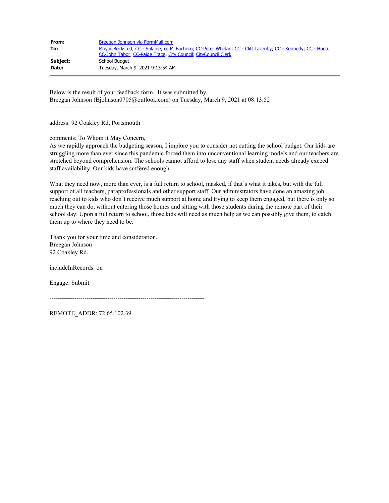| From:    | Breegan Johnson via FormMail.com                                                                                                                                            |
|----------|-----------------------------------------------------------------------------------------------------------------------------------------------------------------------------|
| To:      | Mayor Becksted; CC - Splaine; cc McEachern; CC-Peter Whelan; CC - Cliff Lazenby; CC - Kennedy; CC - Huda;<br>CC-John Tabor, CC-Paige Trace, City Council, CityCouncil Clerk |
| Subject: | School Budget                                                                                                                                                               |
| Date:    | Tuesday, March 9, 2021 9:13:54 AM                                                                                                                                           |

Below is the result of your feedback form. It was submitted by Breegan Johnson (Bjohnson0705@outlook.com) on Tuesday, March 9, 2021 at 08:13:52 ---------------------------------------------------------------------------

address: 92 Coakley Rd, Portsmouth

comments: To Whom it May Concern,

As we rapidly approach the budgeting season, I implore you to consider not cutting the school budget. Our kids are struggling more than ever since this pandemic forced them into unconventional learning models and our teachers are stretched beyond comprehension. The schools cannot afford to lose any staff when student needs already exceed staff availability. Our kids have suffered enough.

What they need now, more than ever, is a full return to school, masked, if that's what it takes, but with the full support of all teachers, paraprofessionals and other support staff. Our administrators have done an amazing job reaching out to kids who don't receive much support at home and trying to keep them engaged, but there is only so much they can do, without entering those homes and sitting with those students during the remote part of their school day. Upon a full return to school, those kids will need as much help as we can possibly give them, to catch them up to where they need to be.

Thank you for your time and consideration. Breegan Johnson 92 Coakley Rd.

includeInRecords: on

Engage: Submit

---------------------------------------------------------------------------

REMOTE\_ADDR: 72.65.102.39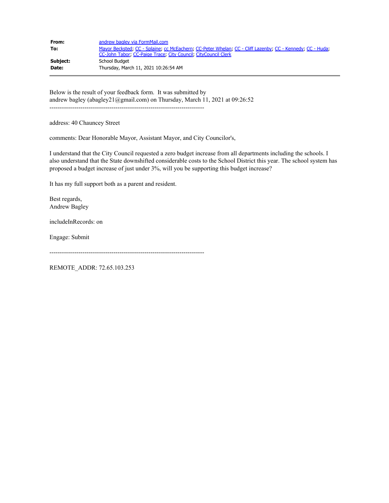| From:    | andrew bagley via FormMail.com                                                                                                                                              |
|----------|-----------------------------------------------------------------------------------------------------------------------------------------------------------------------------|
| To:      | Mayor Becksted, CC - Splaine, cc McEachern, CC-Peter Whelan, CC - Cliff Lazenby, CC - Kennedy, CC - Huda,<br>CC-John Tabor, CC-Paige Trace, City Council, CityCouncil Clerk |
| Subject: | School Budget                                                                                                                                                               |
| Date:    | Thursday, March 11, 2021 10:26:54 AM                                                                                                                                        |

Below is the result of your feedback form. It was submitted by andrew bagley (abagley21@gmail.com) on Thursday, March 11, 2021 at 09:26:52 ---------------------------------------------------------------------------

address: 40 Chauncey Street

comments: Dear Honorable Mayor, Assistant Mayor, and City Councilor's,

I understand that the City Council requested a zero budget increase from all departments including the schools. I also understand that the State downshifted considerable costs to the School District this year. The school system has proposed a budget increase of just under 3%, will you be supporting this budget increase?

It has my full support both as a parent and resident.

Best regards, Andrew Bagley

includeInRecords: on

Engage: Submit

---------------------------------------------------------------------------

REMOTE\_ADDR: 72.65.103.253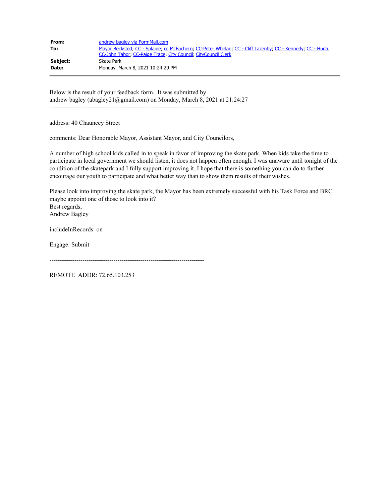| From:    | andrew bagley via FormMail.com                                                                            |
|----------|-----------------------------------------------------------------------------------------------------------|
| To:      | Mayor Becksted, CC - Splaine, cc McEachern, CC-Peter Whelan, CC - Cliff Lazenby, CC - Kennedy, CC - Huda, |
| Subject: | CC-John Tabor, CC-Paige Trace, City Council, CityCouncil Clerk<br>Skate Park                              |
| Date:    | Monday, March 8, 2021 10:24:29 PM                                                                         |

Below is the result of your feedback form. It was submitted by andrew bagley (abagley21@gmail.com) on Monday, March 8, 2021 at 21:24:27 ---------------------------------------------------------------------------

address: 40 Chauncey Street

comments: Dear Honorable Mayor, Assistant Mayor, and City Councilors,

A number of high school kids called in to speak in favor of improving the skate park. When kids take the time to participate in local government we should listen, it does not happen often enough. I was unaware until tonight of the condition of the skatepark and I fully support improving it. I hope that there is something you can do to further encourage our youth to participate and what better way than to show them results of their wishes.

Please look into improving the skate park, the Mayor has been extremely successful with his Task Force and BRC maybe appoint one of those to look into it? Best regards, Andrew Bagley

includeInRecords: on

Engage: Submit

---------------------------------------------------------------------------

REMOTE\_ADDR: 72.65.103.253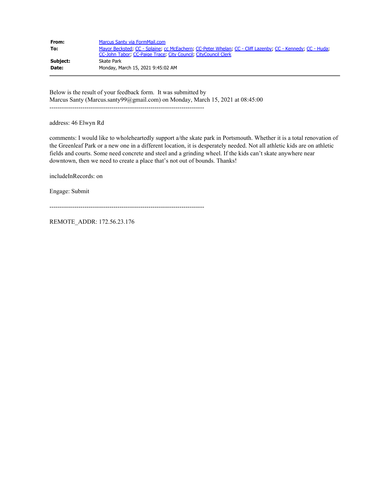| From:    | Marcus Santy via FormMail.com                                                                                                                                               |
|----------|-----------------------------------------------------------------------------------------------------------------------------------------------------------------------------|
| To:      | Mayor Becksted, CC - Splaine, cc McEachern, CC-Peter Whelan, CC - Cliff Lazenby, CC - Kennedy, CC - Huda,<br>CC-John Tabor, CC-Paige Trace, City Council, CityCouncil Clerk |
| Subject: | Skate Park                                                                                                                                                                  |
| Date:    | Monday, March 15, 2021 9:45:02 AM                                                                                                                                           |

Below is the result of your feedback form. It was submitted by Marcus Santy (Marcus.santy99@gmail.com) on Monday, March 15, 2021 at 08:45:00 ---------------------------------------------------------------------------

address: 46 Elwyn Rd

comments: I would like to wholeheartedly support a/the skate park in Portsmouth. Whether it is a total renovation of the Greenleaf Park or a new one in a different location, it is desperately needed. Not all athletic kids are on athletic fields and courts. Some need concrete and steel and a grinding wheel. If the kids can't skate anywhere near downtown, then we need to create a place that's not out of bounds. Thanks!

includeInRecords: on

Engage: Submit

---------------------------------------------------------------------------

REMOTE\_ADDR: 172.56.23.176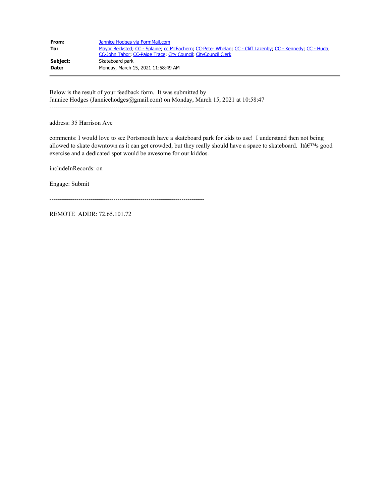| From:    | Jannice Hodges via FormMail.com                                                                                                                                             |
|----------|-----------------------------------------------------------------------------------------------------------------------------------------------------------------------------|
| To:      | Mayor Becksted, CC - Splaine, cc McEachern, CC-Peter Whelan, CC - Cliff Lazenby, CC - Kennedy, CC - Huda,<br>CC-John Tabor, CC-Paige Trace, City Council, CityCouncil Clerk |
| Subject: | Skateboard park                                                                                                                                                             |
| Date:    | Monday, March 15, 2021 11:58:49 AM                                                                                                                                          |

Below is the result of your feedback form. It was submitted by Jannice Hodges (Jannicehodges@gmail.com) on Monday, March 15, 2021 at 10:58:47 ---------------------------------------------------------------------------

address: 35 Harrison Ave

comments: I would love to see Portsmouth have a skateboard park for kids to use! I understand then not being allowed to skate downtown as it can get crowded, but they really should have a space to skateboard. Itâ $\epsilon^{TM}$ s good exercise and a dedicated spot would be awesome for our kiddos.

includeInRecords: on

Engage: Submit

---------------------------------------------------------------------------

REMOTE\_ADDR: 72.65.101.72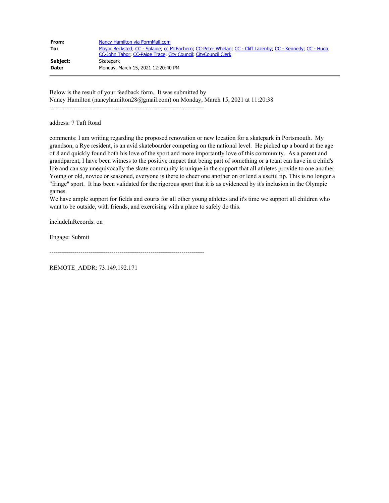| From:        | Nancy Hamilton via FormMail.com                                                                           |
|--------------|-----------------------------------------------------------------------------------------------------------|
| To:          | Mayor Becksted, CC - Splaine, cc McEachern, CC-Peter Whelan, CC - Cliff Lazenby, CC - Kennedy, CC - Huda, |
|              | CC-John Tabor: CC-Paige Trace: City Council: CityCouncil Clerk                                            |
| Subject:     | Skatepark                                                                                                 |
| <b>Date:</b> | Monday, March 15, 2021 12:20:40 PM                                                                        |

Below is the result of your feedback form. It was submitted by Nancy Hamilton (nancyhamilton28@gmail.com) on Monday, March 15, 2021 at 11:20:38 ---------------------------------------------------------------------------

address: 7 Taft Road

comments: I am writing regarding the proposed renovation or new location for a skatepark in Portsmouth. My grandson, a Rye resident, is an avid skateboarder competing on the national level. He picked up a board at the age of 8 and quickly found both his love of the sport and more importantly love of this community. As a parent and grandparent, I have been witness to the positive impact that being part of something or a team can have in a child's life and can say unequivocally the skate community is unique in the support that all athletes provide to one another. Young or old, novice or seasoned, everyone is there to cheer one another on or lend a useful tip. This is no longer a "fringe" sport. It has been validated for the rigorous sport that it is as evidenced by it's inclusion in the Olympic games.

We have ample support for fields and courts for all other young athletes and it's time we support all children who want to be outside, with friends, and exercising with a place to safely do this.

includeInRecords: on

Engage: Submit

---------------------------------------------------------------------------

REMOTE\_ADDR: 73.149.192.171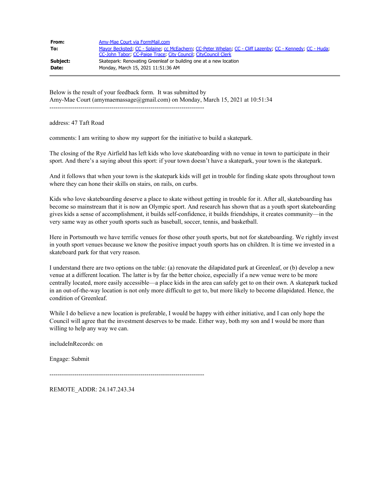| From:    | Amy-Mae Court via FormMail.com                                                                                                                                              |
|----------|-----------------------------------------------------------------------------------------------------------------------------------------------------------------------------|
| To:      | Mayor Becksted; CC - Splaine; cc McEachern; CC-Peter Whelan; CC - Cliff Lazenby; CC - Kennedy; CC - Huda;<br>CC-John Tabor: CC-Paige Trace: City Council: CityCouncil Clerk |
| Subject: | Skatepark: Renovating Greenleaf or building one at a new location                                                                                                           |
| Date:    | Monday, March 15, 2021 11:51:36 AM                                                                                                                                          |

Below is the result of your feedback form. It was submitted by Amy-Mae Court (amymaemassage@gmail.com) on Monday, March 15, 2021 at 10:51:34 ---------------------------------------------------------------------------

address: 47 Taft Road

comments: I am writing to show my support for the initiative to build a skatepark.

The closing of the Rye Airfield has left kids who love skateboarding with no venue in town to participate in their sport. And there's a saying about this sport: if your town doesn't have a skatepark, your town is the skatepark.

And it follows that when your town is the skatepark kids will get in trouble for finding skate spots throughout town where they can hone their skills on stairs, on rails, on curbs.

Kids who love skateboarding deserve a place to skate without getting in trouble for it. After all, skateboarding has become so mainstream that it is now an Olympic sport. And research has shown that as a youth sport skateboarding gives kids a sense of accomplishment, it builds self-confidence, it builds friendships, it creates community—in the very same way as other youth sports such as baseball, soccer, tennis, and basketball.

Here in Portsmouth we have terrific venues for those other youth sports, but not for skateboarding. We rightly invest in youth sport venues because we know the positive impact youth sports has on children. It is time we invested in a skateboard park for that very reason.

I understand there are two options on the table: (a) renovate the dilapidated park at Greenleaf, or (b) develop a new venue at a different location. The latter is by far the better choice, especially if a new venue were to be more centrally located, more easily accessible—a place kids in the area can safely get to on their own. A skatepark tucked in an out-of-the-way location is not only more difficult to get to, but more likely to become dilapidated. Hence, the condition of Greenleaf.

While I do believe a new location is preferable, I would be happy with either initiative, and I can only hope the Council will agree that the investment deserves to be made. Either way, both my son and I would be more than willing to help any way we can.

includeInRecords: on

Engage: Submit

---------------------------------------------------------------------------

REMOTE\_ADDR: 24.147.243.34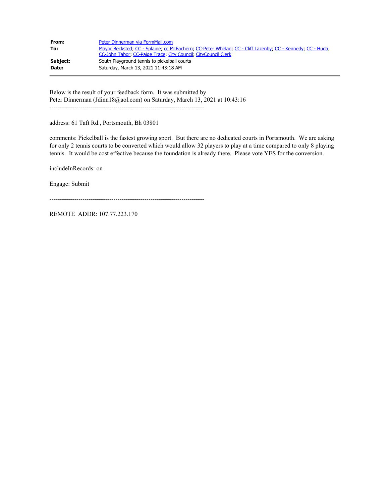| From:    | Peter Dinnerman via FormMail.com                                                                                                                                            |
|----------|-----------------------------------------------------------------------------------------------------------------------------------------------------------------------------|
| To:      | Mayor Becksted; CC - Splaine; cc McEachern; CC-Peter Whelan; CC - Cliff Lazenby; CC - Kennedy; CC - Huda;<br>CC-John Tabor, CC-Paige Trace, City Council, CityCouncil Clerk |
| Subject: | South Playground tennis to pickelball courts                                                                                                                                |
| Date:    | Saturday, March 13, 2021 11:43:18 AM                                                                                                                                        |

Below is the result of your feedback form. It was submitted by Peter Dinnerman (Jdinn18@aol.com) on Saturday, March 13, 2021 at 10:43:16 ---------------------------------------------------------------------------

address: 61 Taft Rd., Portsmouth, Bh 03801

comments: Pickelball is the fastest growing sport. But there are no dedicated courts in Portsmouth. We are asking for only 2 tennis courts to be converted which would allow 32 players to play at a time compared to only 8 playing tennis. It would be cost effective because the foundation is already there. Please vote YES for the conversion.

includeInRecords: on

Engage: Submit

---------------------------------------------------------------------------

REMOTE\_ADDR: 107.77.223.170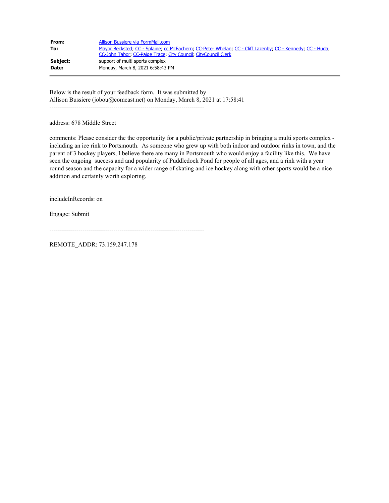| From:    | Allison Bussiere via FormMail.com                                                                         |
|----------|-----------------------------------------------------------------------------------------------------------|
| To:      | Mayor Becksted, CC - Splaine, cc McEachern, CC-Peter Whelan, CC - Cliff Lazenby, CC - Kennedy, CC - Huda; |
|          | CC-John Tabor, CC-Paige Trace, City Council, CityCouncil Clerk                                            |
| Subject: | support of multi sports complex                                                                           |
| Date:    | Monday, March 8, 2021 6:58:43 PM                                                                          |

Below is the result of your feedback form. It was submitted by Allison Bussiere (jobou@comcast.net) on Monday, March 8, 2021 at 17:58:41

---------------------------------------------------------------------------

address: 678 Middle Street

comments: Please consider the the opportunity for a public/private partnership in bringing a multi sports complex including an ice rink to Portsmouth. As someone who grew up with both indoor and outdoor rinks in town, and the parent of 3 hockey players, I believe there are many in Portsmouth who would enjoy a facility like this. We have seen the ongoing success and and popularity of Puddledock Pond for people of all ages, and a rink with a year round season and the capacity for a wider range of skating and ice hockey along with other sports would be a nice addition and certainly worth exploring.

includeInRecords: on

Engage: Submit

---------------------------------------------------------------------------

REMOTE\_ADDR: 73.159.247.178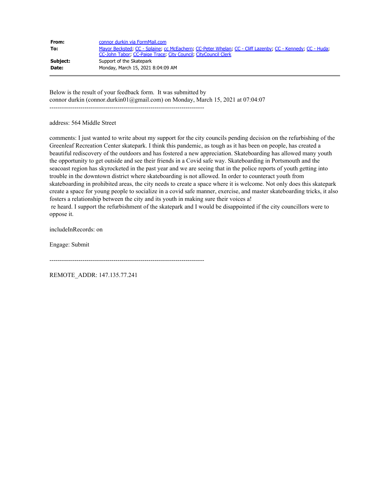| From:    | connor durkin via FormMail.com                                                                            |
|----------|-----------------------------------------------------------------------------------------------------------|
| To:      | Mayor Becksted, CC - Splaine, cc McEachern, CC-Peter Whelan, CC - Cliff Lazenby, CC - Kennedy, CC - Huda; |
|          | CC-John Tabor, CC-Paige Trace, City Council, CityCouncil Clerk                                            |
| Subject: | Support of the Skatepark                                                                                  |
| Date:    | Monday, March 15, 2021 8:04:09 AM                                                                         |

Below is the result of your feedback form. It was submitted by connor durkin (connor.durkin01@gmail.com) on Monday, March 15, 2021 at 07:04:07

---------------------------------------------------------------------------

address: 564 Middle Street

comments: I just wanted to write about my support for the city councils pending decision on the refurbishing of the Greenleaf Recreation Center skatepark. I think this pandemic, as tough as it has been on people, has created a beautiful rediscovery of the outdoors and has fostered a new appreciation. Skateboarding has allowed many youth the opportunity to get outside and see their friends in a Covid safe way. Skateboarding in Portsmouth and the seacoast region has skyrocketed in the past year and we are seeing that in the police reports of youth getting into trouble in the downtown district where skateboarding is not allowed. In order to counteract youth from skateboarding in prohibited areas, the city needs to create a space where it is welcome. Not only does this skatepark create a space for young people to socialize in a covid safe manner, exercise, and master skateboarding tricks, it also fosters a relationship between the city and its youth in making sure their voices a! re heard. I support the refurbishment of the skatepark and I would be disappointed if the city councillors were to oppose it.

includeInRecords: on

Engage: Submit

---------------------------------------------------------------------------

REMOTE\_ADDR: 147.135.77.241